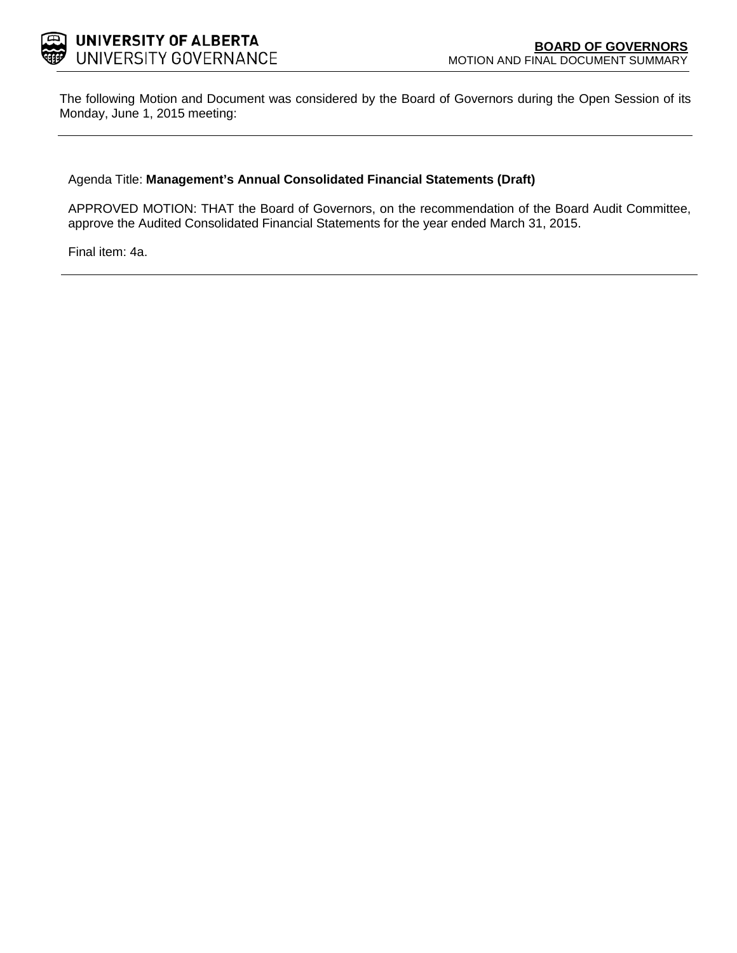

The following Motion and Document was considered by the Board of Governors during the Open Session of its Monday, June 1, 2015 meeting:

## Agenda Title: **Management's Annual Consolidated Financial Statements (Draft)**

APPROVED MOTION: THAT the Board of Governors, on the recommendation of the Board Audit Committee, approve the Audited Consolidated Financial Statements for the year ended March 31, 2015.

Final item: [4a.](#page-1-0)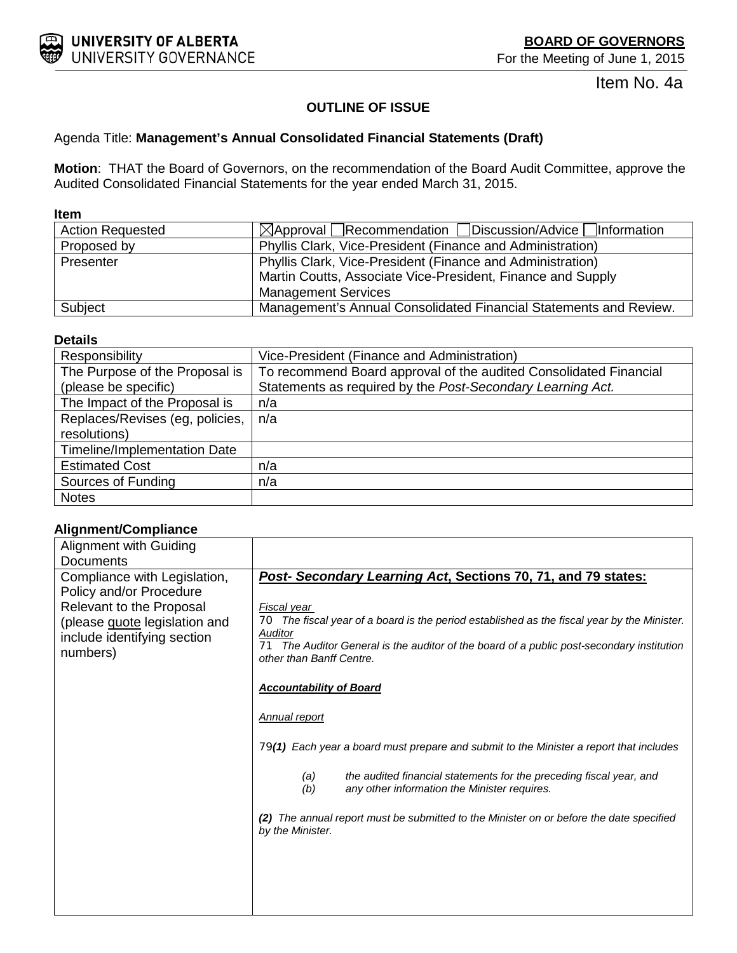<span id="page-1-0"></span>

Item No. 4a

# **OUTLINE OF ISSUE**

# Agenda Title: **Management's Annual Consolidated Financial Statements (Draft)**

**Motion**: THAT the Board of Governors, on the recommendation of the Board Audit Committee, approve the Audited Consolidated Financial Statements for the year ended March 31, 2015.

#### **Item**

| <b>Action Requested</b> | $\boxtimes$ Approval Recommendation Discussion/Advice Information |
|-------------------------|-------------------------------------------------------------------|
| Proposed by             | Phyllis Clark, Vice-President (Finance and Administration)        |
| Presenter               | Phyllis Clark, Vice-President (Finance and Administration)        |
|                         | Martin Coutts, Associate Vice-President, Finance and Supply       |
|                         | <b>Management Services</b>                                        |
| Subject                 | Management's Annual Consolidated Financial Statements and Review. |

# **Details**

| Responsibility                  | Vice-President (Finance and Administration)                       |
|---------------------------------|-------------------------------------------------------------------|
| The Purpose of the Proposal is  | To recommend Board approval of the audited Consolidated Financial |
| (please be specific)            | Statements as required by the Post-Secondary Learning Act.        |
| The Impact of the Proposal is   | n/a                                                               |
| Replaces/Revises (eg, policies, | n/a                                                               |
| resolutions)                    |                                                                   |
| Timeline/Implementation Date    |                                                                   |
| <b>Estimated Cost</b>           | n/a                                                               |
| Sources of Funding              | n/a                                                               |
| <b>Notes</b>                    |                                                                   |

# **Alignment/Compliance**

| <b>Alignment with Guiding</b>                                                                                                   |                                                                                                                                                                                                                                                   |  |  |  |  |
|---------------------------------------------------------------------------------------------------------------------------------|---------------------------------------------------------------------------------------------------------------------------------------------------------------------------------------------------------------------------------------------------|--|--|--|--|
| Documents                                                                                                                       |                                                                                                                                                                                                                                                   |  |  |  |  |
| Compliance with Legislation,                                                                                                    | Post- Secondary Learning Act, Sections 70, 71, and 79 states:                                                                                                                                                                                     |  |  |  |  |
| Policy and/or Procedure<br>Relevant to the Proposal<br>(please guote legislation and<br>include identifying section<br>numbers) | Fiscal year<br>The fiscal year of a board is the period established as the fiscal year by the Minister.<br>70<br>Auditor<br>71 The Auditor General is the auditor of the board of a public post-secondary institution<br>other than Banff Centre. |  |  |  |  |
|                                                                                                                                 | <b>Accountability of Board</b>                                                                                                                                                                                                                    |  |  |  |  |
|                                                                                                                                 | <b>Annual report</b>                                                                                                                                                                                                                              |  |  |  |  |
|                                                                                                                                 | 79(1) Each year a board must prepare and submit to the Minister a report that includes                                                                                                                                                            |  |  |  |  |
|                                                                                                                                 | the audited financial statements for the preceding fiscal year, and<br>(a)<br>(b)<br>any other information the Minister requires.                                                                                                                 |  |  |  |  |
|                                                                                                                                 | The annual report must be submitted to the Minister on or before the date specified<br>by the Minister.                                                                                                                                           |  |  |  |  |
|                                                                                                                                 |                                                                                                                                                                                                                                                   |  |  |  |  |
|                                                                                                                                 |                                                                                                                                                                                                                                                   |  |  |  |  |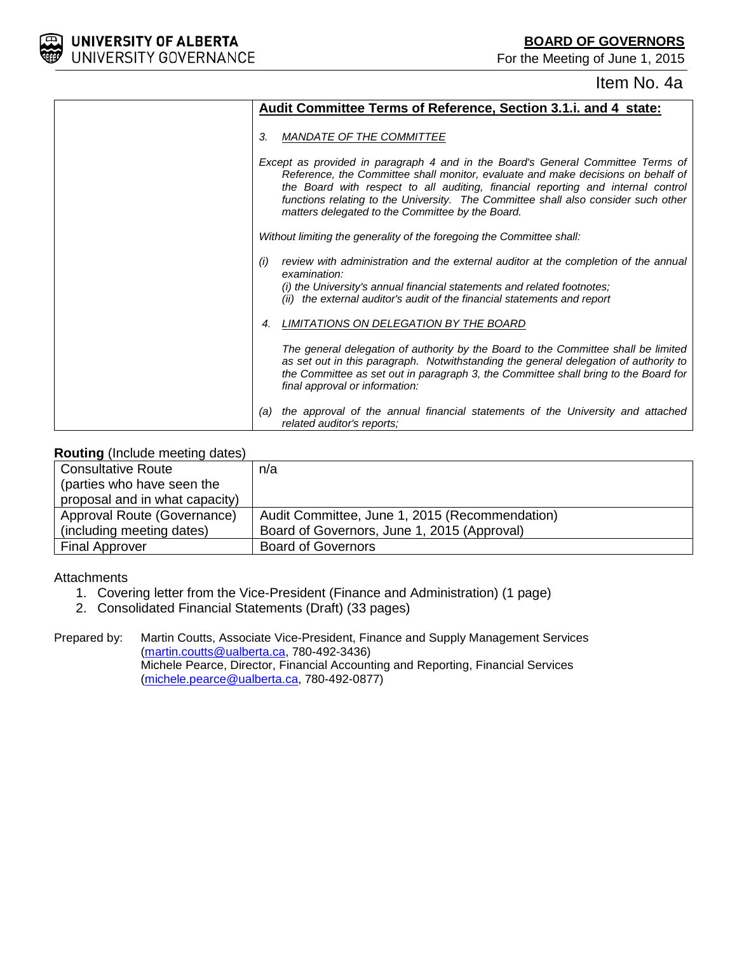For the Meeting of June 1, 2015



# Item No. 4a

|     | Audit Committee Terms of Reference, Section 3.1.i. and 4 state:                                                                                                                                                                                                                                                                                                                                   |
|-----|---------------------------------------------------------------------------------------------------------------------------------------------------------------------------------------------------------------------------------------------------------------------------------------------------------------------------------------------------------------------------------------------------|
| 3.  | MANDATE OF THE COMMITTEE                                                                                                                                                                                                                                                                                                                                                                          |
|     | Except as provided in paragraph 4 and in the Board's General Committee Terms of<br>Reference, the Committee shall monitor, evaluate and make decisions on behalf of<br>the Board with respect to all auditing, financial reporting and internal control<br>functions relating to the University. The Committee shall also consider such other<br>matters delegated to the Committee by the Board. |
|     | Without limiting the generality of the foregoing the Committee shall:                                                                                                                                                                                                                                                                                                                             |
| (i) | review with administration and the external auditor at the completion of the annual<br>examination:<br>(i) the University's annual financial statements and related footnotes;<br>(ii) the external auditor's audit of the financial statements and report                                                                                                                                        |
| 4.  | LIMITATIONS ON DELEGATION BY THE BOARD                                                                                                                                                                                                                                                                                                                                                            |
|     | The general delegation of authority by the Board to the Committee shall be limited<br>as set out in this paragraph. Notwithstanding the general delegation of authority to<br>the Committee as set out in paragraph 3, the Committee shall bring to the Board for<br>final approval or information:                                                                                               |
| (a) | the approval of the annual financial statements of the University and attached<br>related auditor's reports;                                                                                                                                                                                                                                                                                      |

# **Routing** (Include meeting dates)

| <b>Consultative Route</b>      | n/a                                            |
|--------------------------------|------------------------------------------------|
| (parties who have seen the     |                                                |
| proposal and in what capacity) |                                                |
| Approval Route (Governance)    | Audit Committee, June 1, 2015 (Recommendation) |
| (including meeting dates)      | Board of Governors, June 1, 2015 (Approval)    |
| <b>Final Approver</b>          | <b>Board of Governors</b>                      |

**Attachments** 

- 1. Covering letter from the Vice-President (Finance and Administration) (1 page)
- 2. Consolidated Financial Statements (Draft) (33 pages)

Prepared by: Martin Coutts, Associate Vice-President, Finance and Supply Management Services [\(martin.coutts@ualberta.ca,](mailto:martin.coutts@ualberta.ca) 780-492-3436) Michele Pearce, Director, Financial Accounting and Reporting, Financial Services [\(michele.pearce@ualberta.ca,](mailto:michele.pearce@ualberta.ca) 780-492-0877)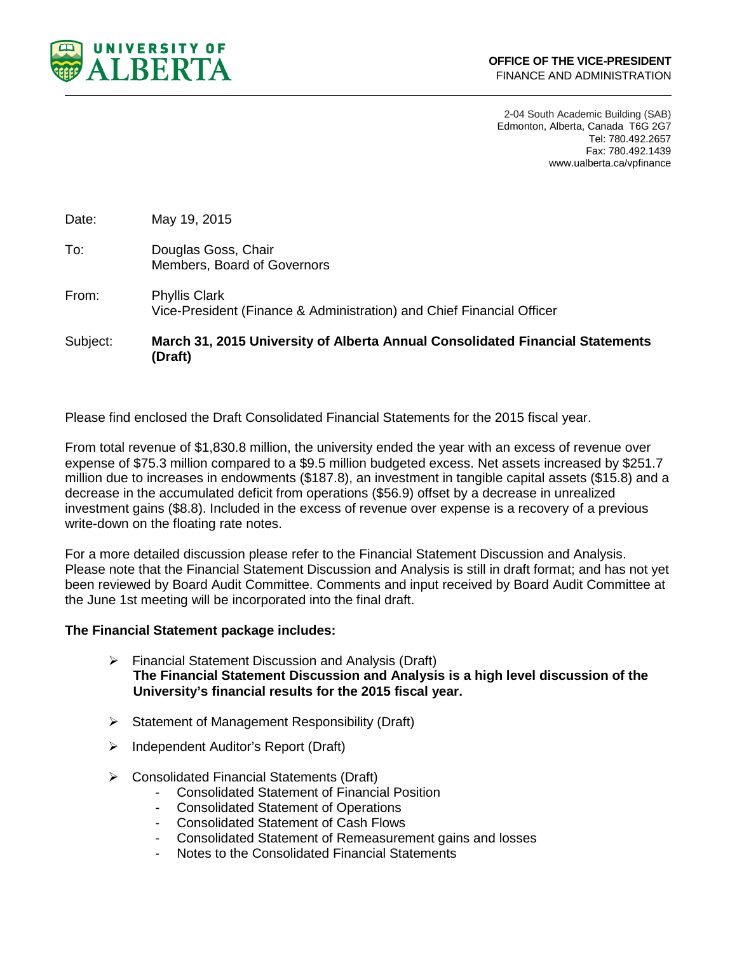

2-04 South Academic Building (SAB) Edmonton, Alberta, Canada T6G 2G7 Tel: 780.492.2657 Fax: 780.492.1439 www.ualberta.ca/vpfinance

Date: May 19, 2015

- To: Douglas Goss, Chair Members, Board of Governors
- From: Phyllis Clark Vice-President (Finance & Administration) and Chief Financial Officer

Subject: **March 31, 2015 University of Alberta Annual Consolidated Financial Statements (Draft)**

Please find enclosed the Draft Consolidated Financial Statements for the 2015 fiscal year.

From total revenue of \$1,830.8 million, the university ended the year with an excess of revenue over expense of \$75.3 million compared to a \$9.5 million budgeted excess. Net assets increased by \$251.7 million due to increases in endowments (\$187.8), an investment in tangible capital assets (\$15.8) and a decrease in the accumulated deficit from operations (\$56.9) offset by a decrease in unrealized investment gains (\$8.8). Included in the excess of revenue over expense is a recovery of a previous write-down on the floating rate notes.

For a more detailed discussion please refer to the Financial Statement Discussion and Analysis. Please note that the Financial Statement Discussion and Analysis is still in draft format; and has not yet been reviewed by Board Audit Committee. Comments and input received by Board Audit Committee at the June 1st meeting will be incorporated into the final draft.

## **The Financial Statement package includes:**

- Financial Statement Discussion and Analysis (Draft) **The Financial Statement Discussion and Analysis is a high level discussion of the University's financial results for the 2015 fiscal year.**
- $\triangleright$  Statement of Management Responsibility (Draft)
- > Independent Auditor's Report (Draft)
- Consolidated Financial Statements (Draft)
	- Consolidated Statement of Financial Position
	- Consolidated Statement of Operations
	- Consolidated Statement of Cash Flows
	- Consolidated Statement of Remeasurement gains and losses
	- Notes to the Consolidated Financial Statements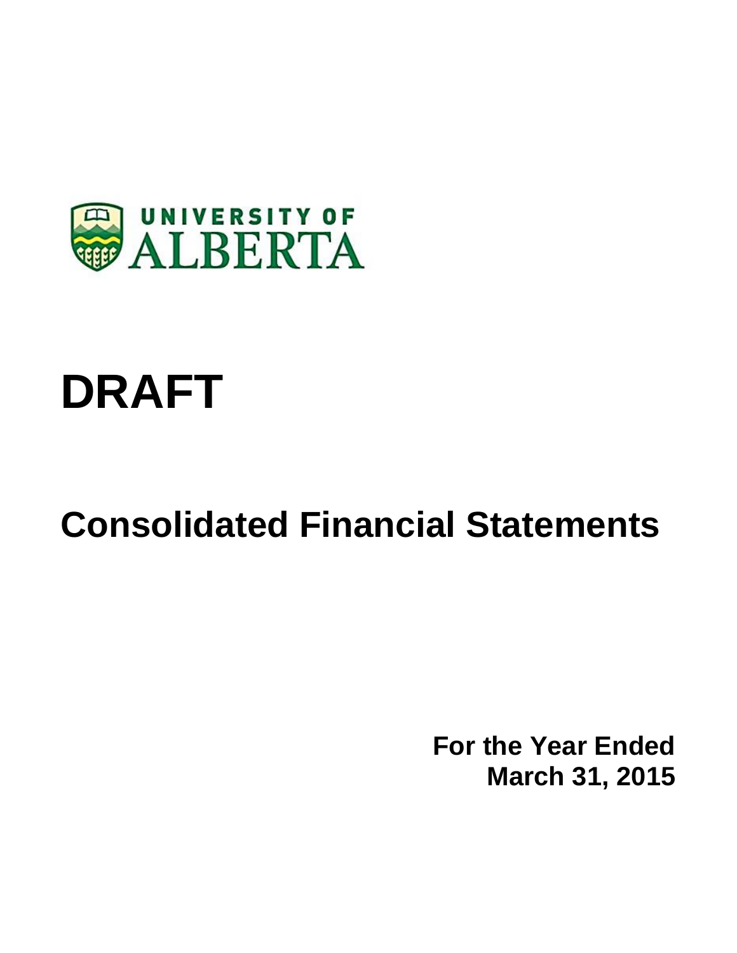

# **DRAFT**

# **Consolidated Financial Statements**

**For the Year Ended March 31, 2015**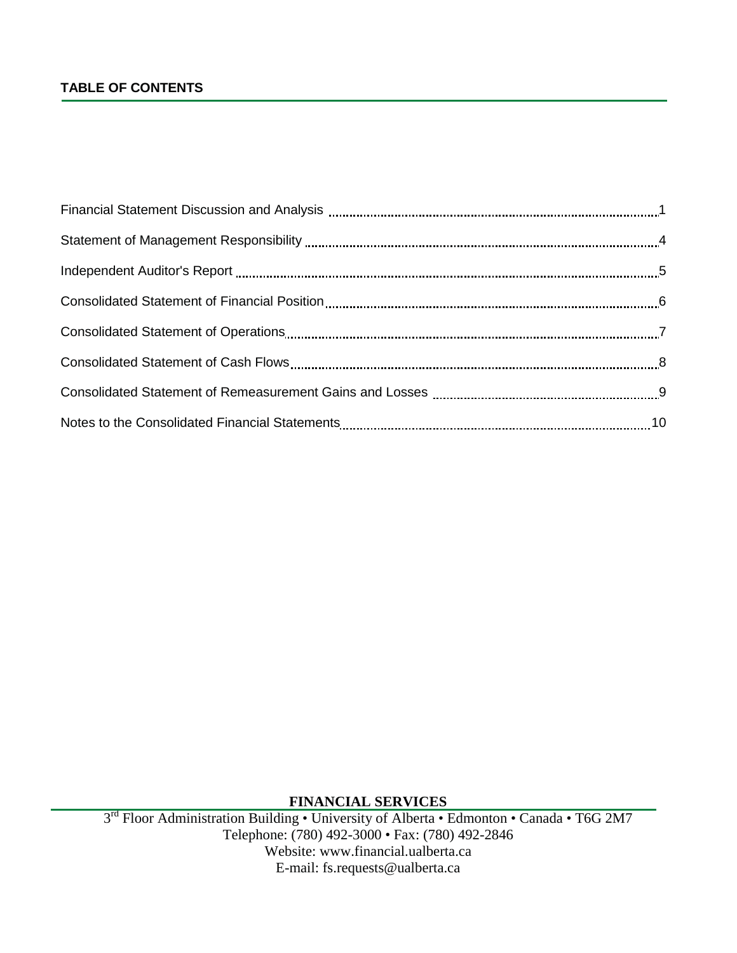# **TABLE OF CONTENTS**

**FINANCIAL SERVICES**

3<sup>rd</sup> Floor Administration Building • University of Alberta • Edmonton • Canada • T6G 2M7 Telephone: (780) 492-3000 • Fax: (780) 492-2846 Website: www.financial.ualberta.ca E-mail: fs.requests@ualberta.ca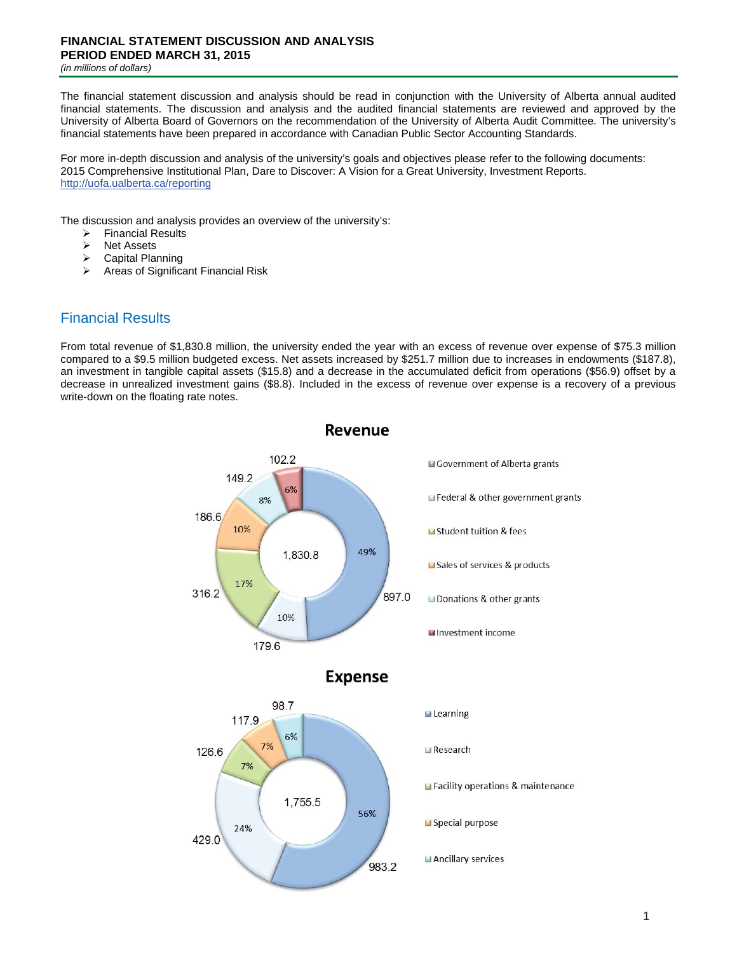# **FINANCIAL STATEMENT DISCUSSION AND ANALYSIS PERIOD ENDED MARCH 31, 2015**

*(in millions of dollars)*

The financial statement discussion and analysis should be read in conjunction with the University of Alberta annual audited financial statements. The discussion and analysis and the audited financial statements are reviewed and approved by the University of Alberta Board of Governors on the recommendation of the University of Alberta Audit Committee. The university's financial statements have been prepared in accordance with Canadian Public Sector Accounting Standards.

For more in-depth discussion and analysis of the university's goals and objectives please refer to the following documents: 2015 Comprehensive Institutional Plan, Dare to Discover: A Vision for a Great University, Investment Reports. http://uofa.ualberta.ca/reporting

The discussion and analysis provides an overview of the university's:

- $\triangleright$  Financial Results<br> $\triangleright$  Net Assets
- **EXALES**<br> **EXALES**<br> **EXALES**<br> **EXALES**
- $\triangleright$  Capital Planning<br> $\triangleright$  Areas of Significal
- ¾ Areas of Significant Financial Risk

# Financial Results

From total revenue of \$1,830.8 million, the university ended the year with an excess of revenue over expense of \$75.3 million compared to a \$9.5 million budgeted excess. Net assets increased by \$251.7 million due to increases in endowments (\$187.8), an investment in tangible capital assets (\$15.8) and a decrease in the accumulated deficit from operations (\$56.9) offset by a decrease in unrealized investment gains (\$8.8). Included in the excess of revenue over expense is a recovery of a previous write-down on the floating rate notes.

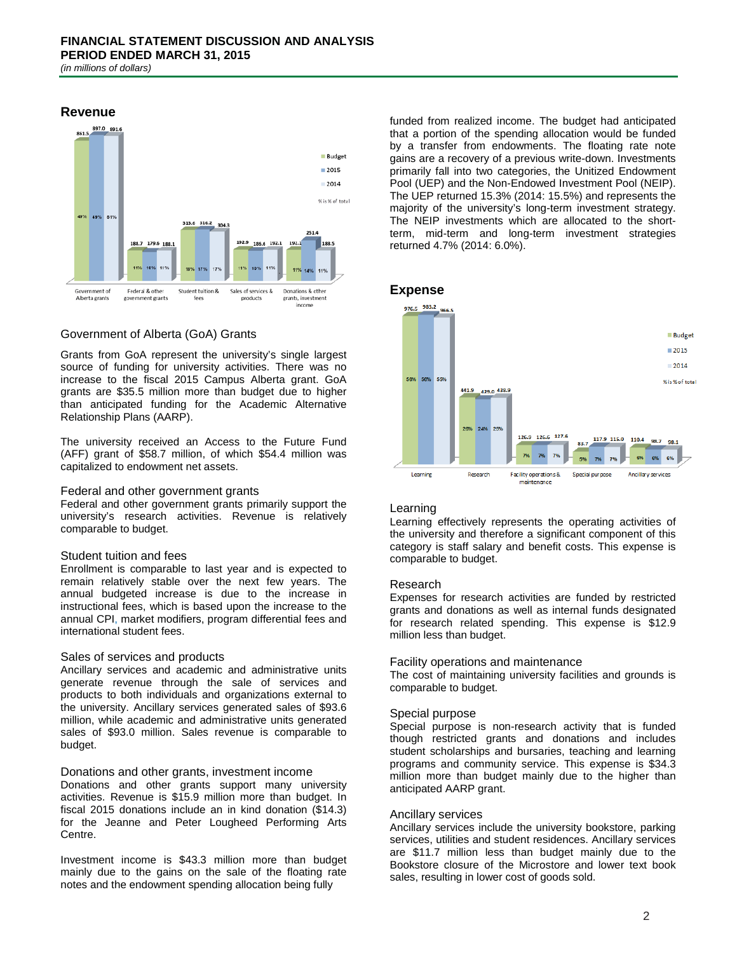

### Government of Alberta (GoA) Grants

Grants from GoA represent the university's single largest source of funding for university activities. There was no increase to the fiscal 2015 Campus Alberta grant. GoA grants are \$35.5 million more than budget due to higher than anticipated funding for the Academic Alternative Relationship Plans (AARP).

The university received an Access to the Future Fund (AFF) grant of \$58.7 million, of which \$54.4 million was capitalized to endowment net assets.

#### Federal and other government grants

Federal and other government grants primarily support the university's research activities. Revenue is relatively comparable to budget.

#### Student tuition and fees

Enrollment is comparable to last year and is expected to remain relatively stable over the next few years. The annual budgeted increase is due to the increase in instructional fees, which is based upon the increase to the annual CPI, market modifiers, program differential fees and international student fees.

#### Sales of services and products

Ancillary services and academic and administrative units generate revenue through the sale of services and products to both individuals and organizations external to the university. Ancillary services generated sales of \$93.6 million, while academic and administrative units generated sales of \$93.0 million. Sales revenue is comparable to budget.

#### Donations and other grants, investment income

Donations and other grants support many university activities. Revenue is \$15.9 million more than budget. In fiscal 2015 donations include an in kind donation (\$14.3) for the Jeanne and Peter Lougheed Performing Arts Centre.

Investment income is \$43.3 million more than budget mainly due to the gains on the sale of the floating rate notes and the endowment spending allocation being fully

funded from realized income. The budget had anticipated that a portion of the spending allocation would be funded by a transfer from endowments. The floating rate note gains are a recovery of a previous write-down. Investments primarily fall into two categories, the Unitized Endowment Pool (UEP) and the Non-Endowed Investment Pool (NEIP). The UEP returned 15.3% (2014: 15.5%) and represents the majority of the university's long-term investment strategy. The NEIP investments which are allocated to the shortterm, mid-term and long-term investment strategies returned 4.7% (2014: 6.0%).

#### **Expense**



#### Learning

Learning effectively represents the operating activities of the university and therefore a significant component of this category is staff salary and benefit costs. This expense is comparable to budget.

#### Research

Expenses for research activities are funded by restricted grants and donations as well as internal funds designated for research related spending. This expense is \$12.9 million less than budget.

#### Facility operations and maintenance

The cost of maintaining university facilities and grounds is comparable to budget.

#### Special purpose

Special purpose is non-research activity that is funded though restricted grants and donations and includes student scholarships and bursaries, teaching and learning programs and community service. This expense is \$34.3 million more than budget mainly due to the higher than anticipated AARP grant.

#### Ancillary services

Ancillary services include the university bookstore, parking services, utilities and student residences. Ancillary services are \$11.7 million less than budget mainly due to the Bookstore closure of the Microstore and lower text book sales, resulting in lower cost of goods sold.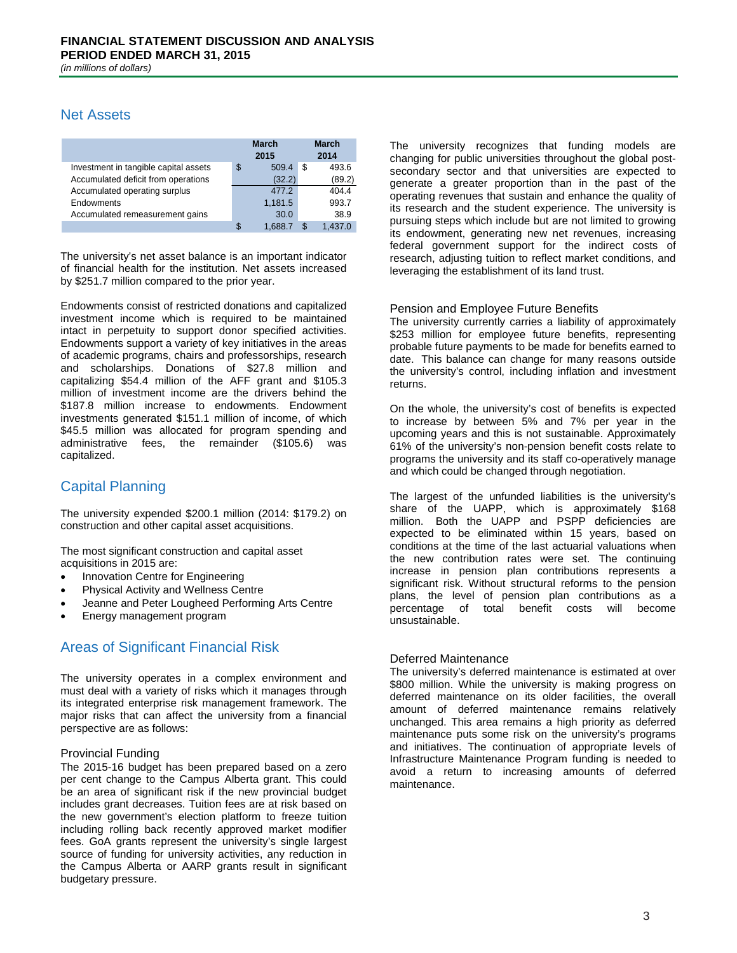# Net Assets

|                                       |   | <b>March</b><br>2015 | <b>March</b><br>2014 |
|---------------------------------------|---|----------------------|----------------------|
| Investment in tangible capital assets | S | 509.4                | \$<br>493.6          |
| Accumulated deficit from operations   |   | (32.2)               | (89.2)               |
| Accumulated operating surplus         |   | 477.2                | 404.4                |
| Endowments                            |   | 1,181.5              | 993.7                |
| Accumulated remeasurement gains       |   | 30.0                 | 38.9                 |
|                                       |   | 1.688.               |                      |

The university's net asset balance is an important indicator of financial health for the institution. Net assets increased by \$251.7 million compared to the prior year.

Endowments consist of restricted donations and capitalized investment income which is required to be maintained intact in perpetuity to support donor specified activities. Endowments support a variety of key initiatives in the areas of academic programs, chairs and professorships, research and scholarships. Donations of \$27.8 million and capitalizing \$54.4 million of the AFF grant and \$105.3 million of investment income are the drivers behind the \$187.8 million increase to endowments. Endowment investments generated \$151.1 million of income, of which \$45.5 million was allocated for program spending and administrative fees, the remainder (\$105.6) was capitalized.

# Capital Planning

The university expended \$200.1 million (2014: \$179.2) on construction and other capital asset acquisitions.

The most significant construction and capital asset acquisitions in 2015 are:

- Innovation Centre for Engineering
- Physical Activity and Wellness Centre
- Jeanne and Peter Lougheed Performing Arts Centre
- Energy management program

# Areas of Significant Financial Risk

The university operates in a complex environment and must deal with a variety of risks which it manages through its integrated enterprise risk management framework. The major risks that can affect the university from a financial perspective are as follows:

#### Provincial Funding

The 2015-16 budget has been prepared based on a zero per cent change to the Campus Alberta grant. This could be an area of significant risk if the new provincial budget includes grant decreases. Tuition fees are at risk based on the new government's election platform to freeze tuition including rolling back recently approved market modifier fees. GoA grants represent the university's single largest source of funding for university activities, any reduction in the Campus Alberta or AARP grants result in significant budgetary pressure.

The university recognizes that funding models are changing for public universities throughout the global postsecondary sector and that universities are expected to generate a greater proportion than in the past of the operating revenues that sustain and enhance the quality of its research and the student experience. The university is pursuing steps which include but are not limited to growing its endowment, generating new net revenues, increasing federal government support for the indirect costs of research, adjusting tuition to reflect market conditions, and leveraging the establishment of its land trust.

#### Pension and Employee Future Benefits

The university currently carries a liability of approximately \$253 million for employee future benefits, representing probable future payments to be made for benefits earned to date. This balance can change for many reasons outside the university's control, including inflation and investment returns.

On the whole, the university's cost of benefits is expected to increase by between 5% and 7% per year in the upcoming years and this is not sustainable. Approximately 61% of the university's non-pension benefit costs relate to programs the university and its staff co-operatively manage and which could be changed through negotiation.

The largest of the unfunded liabilities is the university's share of the UAPP, which is approximately \$168 million. Both the UAPP and PSPP deficiencies are expected to be eliminated within 15 years, based on conditions at the time of the last actuarial valuations when the new contribution rates were set. The continuing increase in pension plan contributions represents a significant risk. Without structural reforms to the pension plans, the level of pension plan contributions as a percentage of total benefit costs will become unsustainable.

#### Deferred Maintenance

The university's deferred maintenance is estimated at over \$800 million. While the university is making progress on deferred maintenance on its older facilities, the overall amount of deferred maintenance remains relatively unchanged. This area remains a high priority as deferred maintenance puts some risk on the university's programs and initiatives. The continuation of appropriate levels of Infrastructure Maintenance Program funding is needed to avoid a return to increasing amounts of deferred maintenance.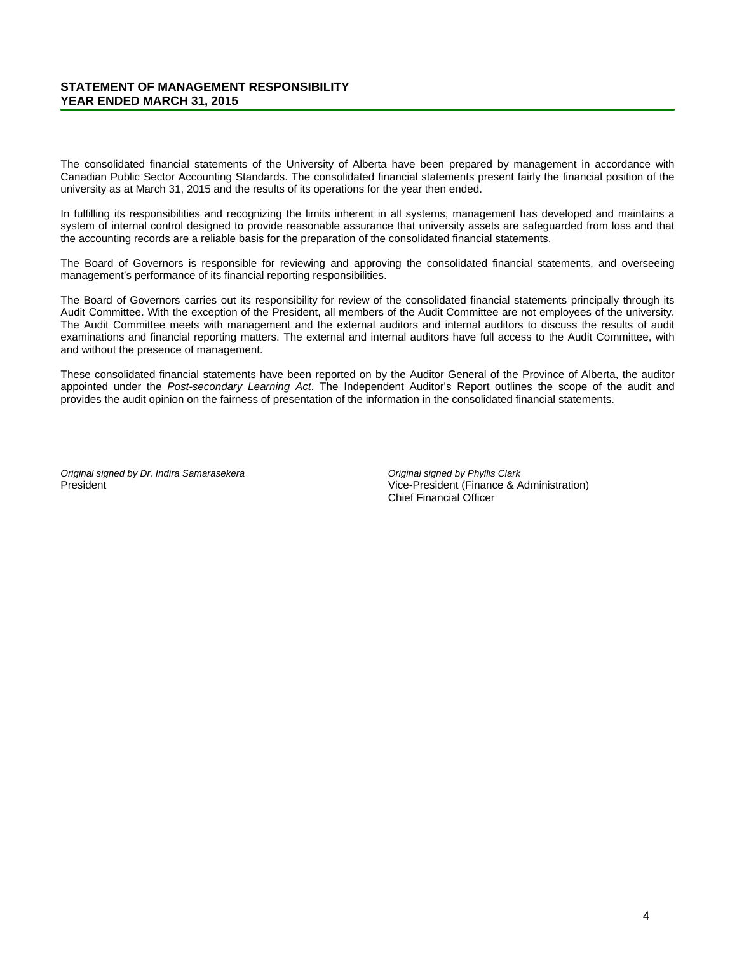#### **STATEMENT OF MANAGEMENT RESPONSIBILITY YEAR ENDED MARCH 31, 2015**

The consolidated financial statements of the University of Alberta have been prepared by management in accordance with Canadian Public Sector Accounting Standards. The consolidated financial statements present fairly the financial position of the university as at March 31, 2015 and the results of its operations for the year then ended.

In fulfilling its responsibilities and recognizing the limits inherent in all systems, management has developed and maintains a system of internal control designed to provide reasonable assurance that university assets are safeguarded from loss and that the accounting records are a reliable basis for the preparation of the consolidated financial statements.

The Board of Governors is responsible for reviewing and approving the consolidated financial statements, and overseeing management's performance of its financial reporting responsibilities.

The Board of Governors carries out its responsibility for review of the consolidated financial statements principally through its Audit Committee. With the exception of the President, all members of the Audit Committee are not employees of the university. The Audit Committee meets with management and the external auditors and internal auditors to discuss the results of audit examinations and financial reporting matters. The external and internal auditors have full access to the Audit Committee, with and without the presence of management.

These consolidated financial statements have been reported on by the Auditor General of the Province of Alberta, the auditor appointed under the *Post-secondary Learning Act*. The Independent Auditor's Report outlines the scope of the audit and provides the audit opinion on the fairness of presentation of the information in the consolidated financial statements.

*Original signed by Dr. Indira Samarasekera* President

*Original signed by Phyllis Clark* Vice-President (Finance & Administration) Chief Financial Officer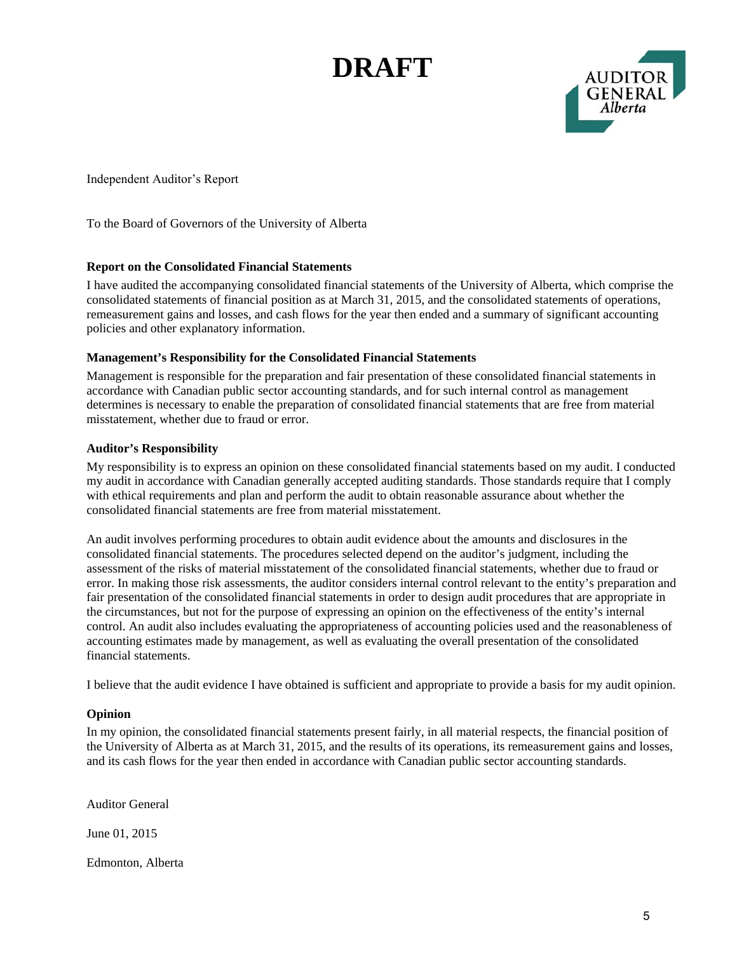# **DRAFT**



Independent Auditor's Report

To the Board of Governors of the University of Alberta

### **Report on the Consolidated Financial Statements**

I have audited the accompanying consolidated financial statements of the University of Alberta, which comprise the consolidated statements of financial position as at March 31, 2015, and the consolidated statements of operations, remeasurement gains and losses, and cash flows for the year then ended and a summary of significant accounting policies and other explanatory information.

### **Management's Responsibility for the Consolidated Financial Statements**

Management is responsible for the preparation and fair presentation of these consolidated financial statements in accordance with Canadian public sector accounting standards, and for such internal control as management determines is necessary to enable the preparation of consolidated financial statements that are free from material misstatement, whether due to fraud or error.

### **Auditor's Responsibility**

My responsibility is to express an opinion on these consolidated financial statements based on my audit. I conducted my audit in accordance with Canadian generally accepted auditing standards. Those standards require that I comply with ethical requirements and plan and perform the audit to obtain reasonable assurance about whether the consolidated financial statements are free from material misstatement.

An audit involves performing procedures to obtain audit evidence about the amounts and disclosures in the consolidated financial statements. The procedures selected depend on the auditor's judgment, including the assessment of the risks of material misstatement of the consolidated financial statements, whether due to fraud or error. In making those risk assessments, the auditor considers internal control relevant to the entity's preparation and fair presentation of the consolidated financial statements in order to design audit procedures that are appropriate in the circumstances, but not for the purpose of expressing an opinion on the effectiveness of the entity's internal control. An audit also includes evaluating the appropriateness of accounting policies used and the reasonableness of accounting estimates made by management, as well as evaluating the overall presentation of the consolidated financial statements.

I believe that the audit evidence I have obtained is sufficient and appropriate to provide a basis for my audit opinion.

#### **Opinion**

In my opinion, the consolidated financial statements present fairly, in all material respects, the financial position of the University of Alberta as at March 31, 2015, and the results of its operations, its remeasurement gains and losses, and its cash flows for the year then ended in accordance with Canadian public sector accounting standards.

Auditor General

June 01, 2015

Edmonton, Alberta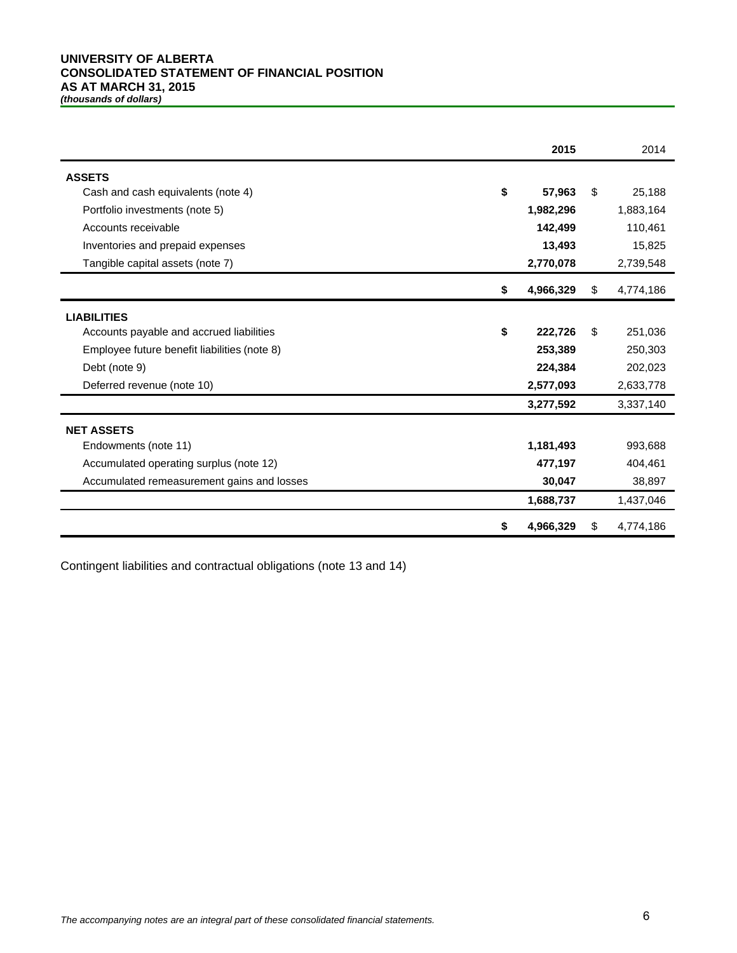#### **UNIVERSITY OF ALBERTA CONSOLIDATED STATEMENT OF FINANCIAL POSITION AS AT MARCH 31, 2015** *(thousands of dollars)*

|                                              | 2015            |    | 2014      |
|----------------------------------------------|-----------------|----|-----------|
| <b>ASSETS</b>                                |                 |    |           |
| Cash and cash equivalents (note 4)           | \$<br>57,963    | \$ | 25,188    |
| Portfolio investments (note 5)               | 1,982,296       |    | 1,883,164 |
| Accounts receivable                          | 142,499         |    | 110,461   |
| Inventories and prepaid expenses             | 13,493          |    | 15,825    |
| Tangible capital assets (note 7)             | 2,770,078       |    | 2,739,548 |
|                                              | \$<br>4,966,329 | S. | 4,774,186 |
| <b>LIABILITIES</b>                           |                 |    |           |
| Accounts payable and accrued liabilities     | \$<br>222,726   | \$ | 251,036   |
| Employee future benefit liabilities (note 8) | 253,389         |    | 250,303   |
| Debt (note 9)                                | 224,384         |    | 202,023   |
| Deferred revenue (note 10)                   | 2,577,093       |    | 2,633,778 |
|                                              | 3,277,592       |    | 3,337,140 |
| <b>NET ASSETS</b>                            |                 |    |           |
| Endowments (note 11)                         | 1,181,493       |    | 993,688   |
| Accumulated operating surplus (note 12)      | 477,197         |    | 404,461   |
| Accumulated remeasurement gains and losses   | 30,047          |    | 38,897    |
|                                              | 1,688,737       |    | 1,437,046 |
|                                              | \$<br>4,966,329 | S  | 4,774,186 |

Contingent liabilities and contractual obligations (note 13 and 14)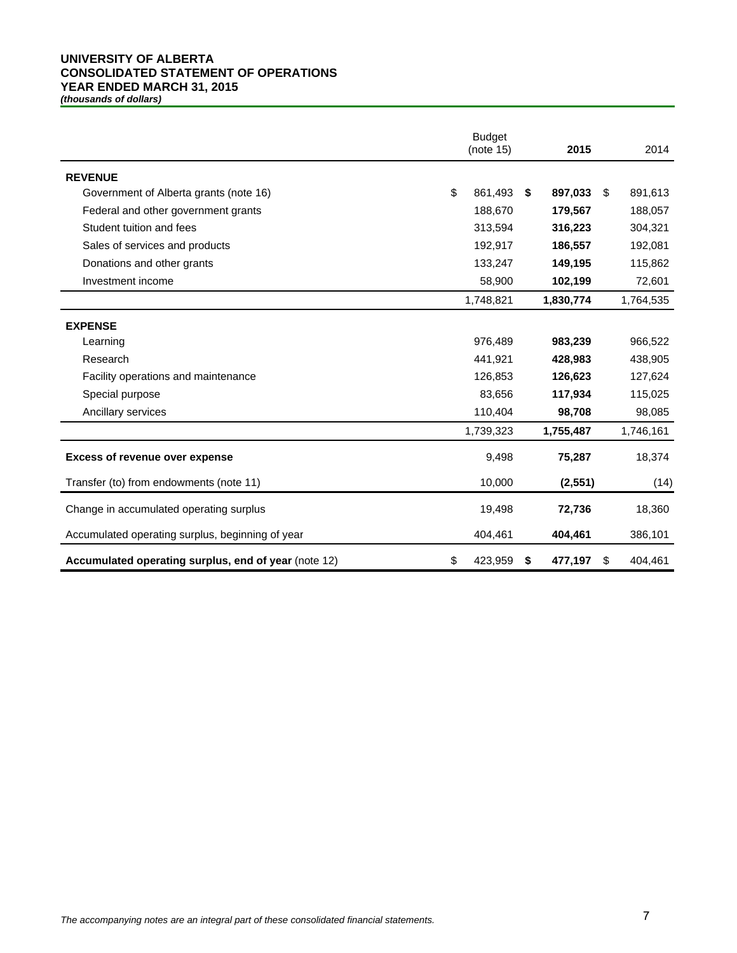#### **UNIVERSITY OF ALBERTA CONSOLIDATED STATEMENT OF OPERATIONS YEAR ENDED MARCH 31, 2015**

*(thousands of dollars)*

|                                                      | <b>Budget</b><br>(note 15) | 2015          | 2014          |
|------------------------------------------------------|----------------------------|---------------|---------------|
| <b>REVENUE</b>                                       |                            |               |               |
| Government of Alberta grants (note 16)               | \$<br>861,493              | \$<br>897.033 | \$<br>891,613 |
| Federal and other government grants                  | 188,670                    | 179,567       | 188,057       |
| Student tuition and fees                             | 313,594                    | 316,223       | 304,321       |
| Sales of services and products                       | 192,917                    | 186,557       | 192,081       |
| Donations and other grants                           | 133,247                    | 149,195       | 115,862       |
| Investment income                                    | 58,900                     | 102,199       | 72,601        |
|                                                      | 1,748,821                  | 1,830,774     | 1,764,535     |
| <b>EXPENSE</b>                                       |                            |               |               |
| Learning                                             | 976,489                    | 983,239       | 966,522       |
| Research                                             | 441,921                    | 428,983       | 438,905       |
| Facility operations and maintenance                  | 126,853                    | 126,623       | 127,624       |
| Special purpose                                      | 83,656                     | 117,934       | 115,025       |
| Ancillary services                                   | 110,404                    | 98,708        | 98,085        |
|                                                      | 1,739,323                  | 1,755,487     | 1,746,161     |
| <b>Excess of revenue over expense</b>                | 9,498                      | 75,287        | 18,374        |
| Transfer (to) from endowments (note 11)              | 10,000                     | (2,551)       | (14)          |
| Change in accumulated operating surplus              | 19,498                     | 72,736        | 18,360        |
| Accumulated operating surplus, beginning of year     | 404,461                    | 404,461       | 386,101       |
| Accumulated operating surplus, end of year (note 12) | \$<br>423,959              | \$<br>477,197 | \$<br>404,461 |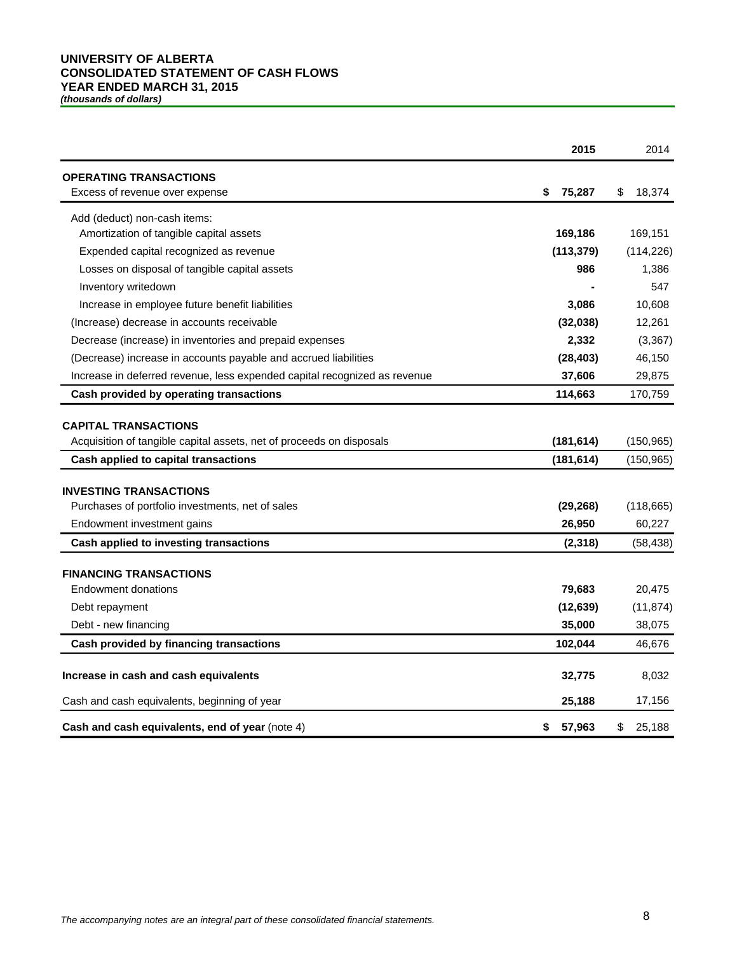# **UNIVERSITY OF ALBERTA CONSOLIDATED STATEMENT OF CASH FLOWS YEAR ENDED MARCH 31, 2015**

*(thousands of dollars)*

|                                                                                                     | 2015         | 2014         |
|-----------------------------------------------------------------------------------------------------|--------------|--------------|
| <b>OPERATING TRANSACTIONS</b><br>Excess of revenue over expense                                     | \$<br>75,287 | \$<br>18,374 |
| Add (deduct) non-cash items:                                                                        |              |              |
| Amortization of tangible capital assets                                                             | 169,186      | 169,151      |
| Expended capital recognized as revenue                                                              | (113, 379)   | (114, 226)   |
| Losses on disposal of tangible capital assets                                                       | 986          | 1,386        |
| Inventory writedown                                                                                 |              | 547          |
| Increase in employee future benefit liabilities                                                     | 3,086        | 10,608       |
| (Increase) decrease in accounts receivable                                                          | (32,038)     | 12,261       |
| Decrease (increase) in inventories and prepaid expenses                                             | 2,332        | (3, 367)     |
| (Decrease) increase in accounts payable and accrued liabilities                                     | (28, 403)    | 46,150       |
| Increase in deferred revenue, less expended capital recognized as revenue                           | 37,606       | 29,875       |
| Cash provided by operating transactions                                                             | 114,663      | 170,759      |
| <b>CAPITAL TRANSACTIONS</b><br>Acquisition of tangible capital assets, net of proceeds on disposals | (181, 614)   | (150, 965)   |
| Cash applied to capital transactions                                                                | (181, 614)   | (150, 965)   |
| <b>INVESTING TRANSACTIONS</b>                                                                       |              |              |
| Purchases of portfolio investments, net of sales                                                    | (29, 268)    | (118, 665)   |
| Endowment investment gains                                                                          | 26,950       | 60,227       |
| Cash applied to investing transactions                                                              | (2, 318)     | (58, 438)    |
| <b>FINANCING TRANSACTIONS</b>                                                                       |              |              |
| <b>Endowment donations</b>                                                                          | 79,683       | 20,475       |
| Debt repayment                                                                                      | (12, 639)    | (11, 874)    |
| Debt - new financing                                                                                | 35,000       | 38,075       |
| Cash provided by financing transactions                                                             | 102,044      | 46,676       |
| Increase in cash and cash equivalents                                                               | 32,775       | 8,032        |
| Cash and cash equivalents, beginning of year                                                        | 25,188       | 17,156       |
| Cash and cash equivalents, end of year (note 4)                                                     | 57,963<br>\$ | \$<br>25,188 |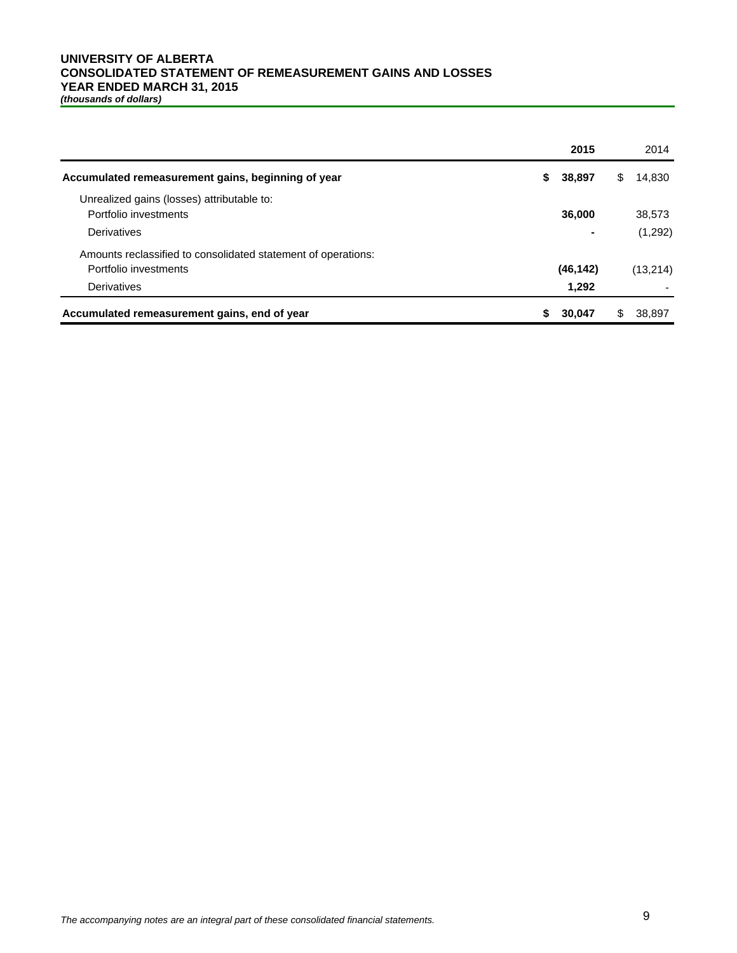# **UNIVERSITY OF ALBERTA CONSOLIDATED STATEMENT OF REMEASUREMENT GAINS AND LOSSES YEAR ENDED MARCH 31, 2015**

*(thousands of dollars)*

|                                                               | 2015           | 2014         |
|---------------------------------------------------------------|----------------|--------------|
| Accumulated remeasurement gains, beginning of year            | 38,897<br>S.   | 14,830<br>S. |
| Unrealized gains (losses) attributable to:                    |                |              |
| Portfolio investments                                         | 36,000         | 38,573       |
| Derivatives                                                   | $\blacksquare$ | (1,292)      |
| Amounts reclassified to consolidated statement of operations: |                |              |
| Portfolio investments                                         | (46, 142)      | (13,214)     |
| Derivatives                                                   | 1,292          |              |
| Accumulated remeasurement gains, end of year                  | 30,047         | 38.897       |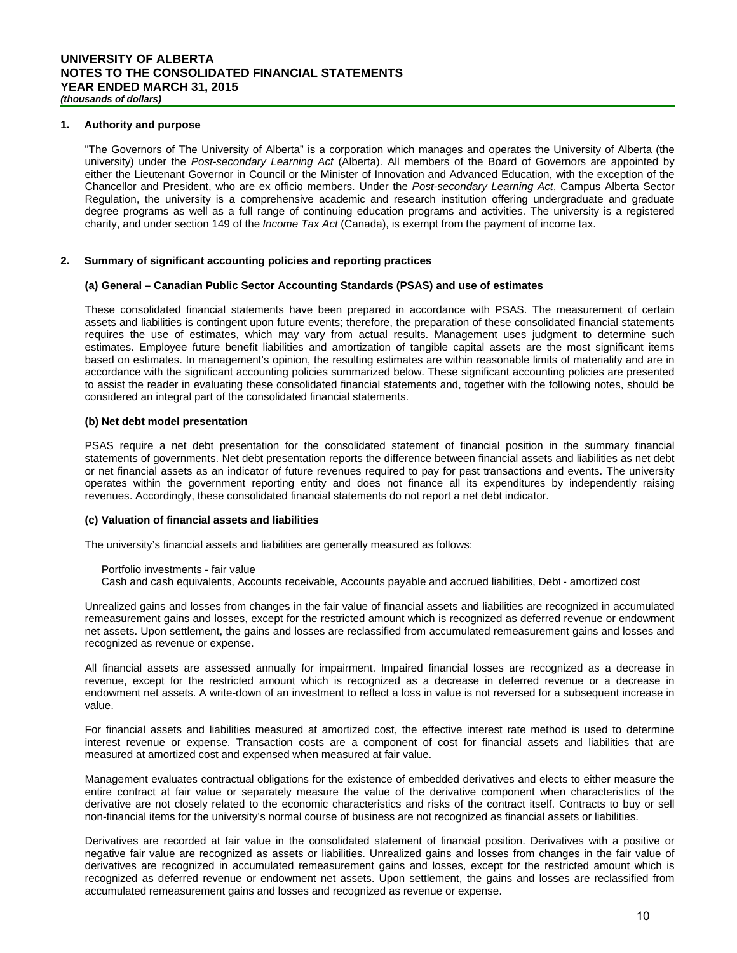#### **1. Authority and purpose**

"The Governors of The University of Alberta" is a corporation which manages and operates the University of Alberta (the university) under the *Post-secondary Learning Act* (Alberta). All members of the Board of Governors are appointed by either the Lieutenant Governor in Council or the Minister of Innovation and Advanced Education, with the exception of the Chancellor and President, who are ex officio members. Under the *Post-secondary Learning Act*, Campus Alberta Sector Regulation, the university is a comprehensive academic and research institution offering undergraduate and graduate degree programs as well as a full range of continuing education programs and activities. The university is a registered charity, and under section 149 of the *Income Tax Act* (Canada), is exempt from the payment of income tax.

#### **2. Summary of significant accounting policies and reporting practices**

#### **(a) General – Canadian Public Sector Accounting Standards (PSAS) and use of estimates**

These consolidated financial statements have been prepared in accordance with PSAS. The measurement of certain assets and liabilities is contingent upon future events; therefore, the preparation of these consolidated financial statements requires the use of estimates, which may vary from actual results. Management uses judgment to determine such estimates. Employee future benefit liabilities and amortization of tangible capital assets are the most significant items based on estimates. In management's opinion, the resulting estimates are within reasonable limits of materiality and are in accordance with the significant accounting policies summarized below. These significant accounting policies are presented to assist the reader in evaluating these consolidated financial statements and, together with the following notes, should be considered an integral part of the consolidated financial statements.

#### **(b) Net debt model presentation**

PSAS require a net debt presentation for the consolidated statement of financial position in the summary financial statements of governments. Net debt presentation reports the difference between financial assets and liabilities as net debt or net financial assets as an indicator of future revenues required to pay for past transactions and events. The university operates within the government reporting entity and does not finance all its expenditures by independently raising revenues. Accordingly, these consolidated financial statements do not report a net debt indicator.

#### **(c) Valuation of financial assets and liabilities**

The university's financial assets and liabilities are generally measured as follows:

Cash and cash equivalents, Accounts receivable, Accounts payable and accrued liabilities, Debt - amortized cost

Unrealized gains and losses from changes in the fair value of financial assets and liabilities are recognized in accumulated remeasurement gains and losses, except for the restricted amount which is recognized as deferred revenue or endowment net assets. Upon settlement, the gains and losses are reclassified from accumulated remeasurement gains and losses and recognized as revenue or expense.

All financial assets are assessed annually for impairment. Impaired financial losses are recognized as a decrease in revenue, except for the restricted amount which is recognized as a decrease in deferred revenue or a decrease in endowment net assets. A write-down of an investment to reflect a loss in value is not reversed for a subsequent increase in value.

For financial assets and liabilities measured at amortized cost, the effective interest rate method is used to determine interest revenue or expense. Transaction costs are a component of cost for financial assets and liabilities that are measured at amortized cost and expensed when measured at fair value.

Management evaluates contractual obligations for the existence of embedded derivatives and elects to either measure the entire contract at fair value or separately measure the value of the derivative component when characteristics of the derivative are not closely related to the economic characteristics and risks of the contract itself. Contracts to buy or sell non-financial items for the university's normal course of business are not recognized as financial assets or liabilities.

Derivatives are recorded at fair value in the consolidated statement of financial position. Derivatives with a positive or negative fair value are recognized as assets or liabilities. Unrealized gains and losses from changes in the fair value of derivatives are recognized in accumulated remeasurement gains and losses, except for the restricted amount which is recognized as deferred revenue or endowment net assets. Upon settlement, the gains and losses are reclassified from accumulated remeasurement gains and losses and recognized as revenue or expense.

Portfolio investments - fair value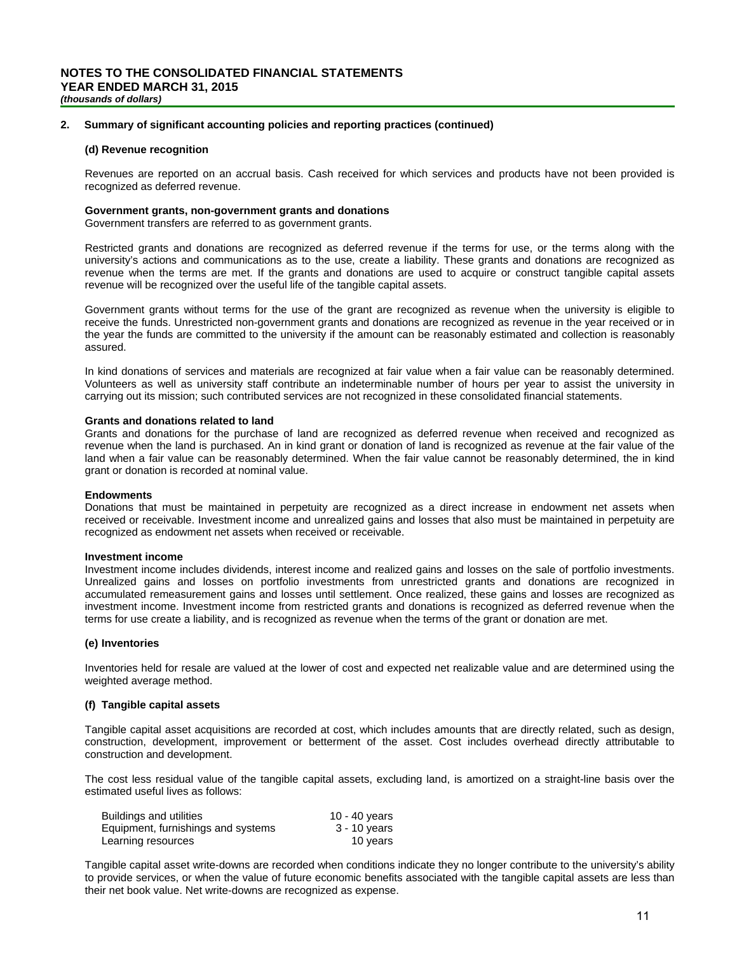#### **2. Summary of significant accounting policies and reporting practices (continued)**

#### **(d) Revenue recognition**

Revenues are reported on an accrual basis. Cash received for which services and products have not been provided is recognized as deferred revenue.

#### **Government grants, non-government grants and donations**

Government transfers are referred to as government grants.

Restricted grants and donations are recognized as deferred revenue if the terms for use, or the terms along with the university's actions and communications as to the use, create a liability. These grants and donations are recognized as revenue when the terms are met. If the grants and donations are used to acquire or construct tangible capital assets revenue will be recognized over the useful life of the tangible capital assets.

Government grants without terms for the use of the grant are recognized as revenue when the university is eligible to receive the funds. Unrestricted non-government grants and donations are recognized as revenue in the year received or in the year the funds are committed to the university if the amount can be reasonably estimated and collection is reasonably assured.

In kind donations of services and materials are recognized at fair value when a fair value can be reasonably determined. Volunteers as well as university staff contribute an indeterminable number of hours per year to assist the university in carrying out its mission; such contributed services are not recognized in these consolidated financial statements.

#### **Grants and donations related to land**

Grants and donations for the purchase of land are recognized as deferred revenue when received and recognized as revenue when the land is purchased. An in kind grant or donation of land is recognized as revenue at the fair value of the land when a fair value can be reasonably determined. When the fair value cannot be reasonably determined, the in kind grant or donation is recorded at nominal value.

#### **Endowments**

Donations that must be maintained in perpetuity are recognized as a direct increase in endowment net assets when received or receivable. Investment income and unrealized gains and losses that also must be maintained in perpetuity are recognized as endowment net assets when received or receivable.

#### **Investment income**

Investment income includes dividends, interest income and realized gains and losses on the sale of portfolio investments. Unrealized gains and losses on portfolio investments from unrestricted grants and donations are recognized in accumulated remeasurement gains and losses until settlement. Once realized, these gains and losses are recognized as investment income. Investment income from restricted grants and donations is recognized as deferred revenue when the terms for use create a liability, and is recognized as revenue when the terms of the grant or donation are met.

#### **(e) Inventories**

Inventories held for resale are valued at the lower of cost and expected net realizable value and are determined using the weighted average method.

#### **(f) Tangible capital assets**

Tangible capital asset acquisitions are recorded at cost, which includes amounts that are directly related, such as design, construction, development, improvement or betterment of the asset. Cost includes overhead directly attributable to construction and development.

The cost less residual value of the tangible capital assets, excluding land, is amortized on a straight-line basis over the estimated useful lives as follows:

| Buildings and utilities            | 10 - 40 years |
|------------------------------------|---------------|
| Equipment, furnishings and systems | 3 - 10 years  |
| Learning resources                 | 10 years      |

Tangible capital asset write-downs are recorded when conditions indicate they no longer contribute to the university's ability to provide services, or when the value of future economic benefits associated with the tangible capital assets are less than their net book value. Net write-downs are recognized as expense.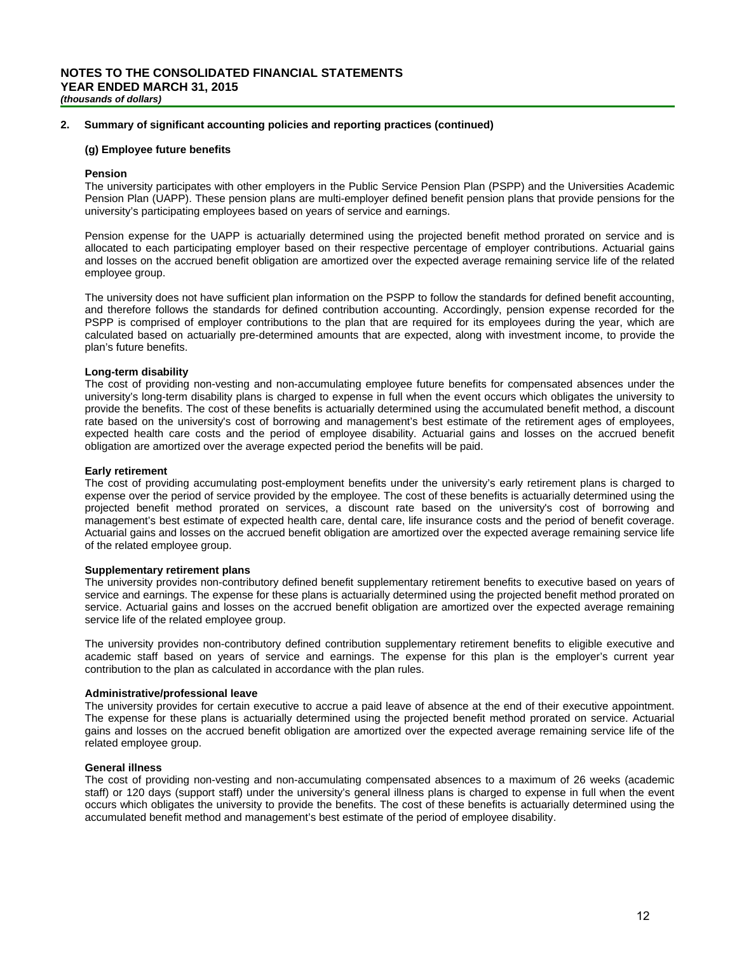#### **2. Summary of significant accounting policies and reporting practices (continued)**

#### **(g) Employee future benefits**

#### **Pension**

The university participates with other employers in the Public Service Pension Plan (PSPP) and the Universities Academic Pension Plan (UAPP). These pension plans are multi-employer defined benefit pension plans that provide pensions for the university's participating employees based on years of service and earnings.

Pension expense for the UAPP is actuarially determined using the projected benefit method prorated on service and is allocated to each participating employer based on their respective percentage of employer contributions. Actuarial gains and losses on the accrued benefit obligation are amortized over the expected average remaining service life of the related employee group.

The university does not have sufficient plan information on the PSPP to follow the standards for defined benefit accounting, and therefore follows the standards for defined contribution accounting. Accordingly, pension expense recorded for the PSPP is comprised of employer contributions to the plan that are required for its employees during the year, which are calculated based on actuarially pre-determined amounts that are expected, along with investment income, to provide the plan's future benefits.

#### **Long-term disability**

The cost of providing non-vesting and non-accumulating employee future benefits for compensated absences under the university's long-term disability plans is charged to expense in full when the event occurs which obligates the university to provide the benefits. The cost of these benefits is actuarially determined using the accumulated benefit method, a discount rate based on the university's cost of borrowing and management's best estimate of the retirement ages of employees, expected health care costs and the period of employee disability. Actuarial gains and losses on the accrued benefit obligation are amortized over the average expected period the benefits will be paid.

#### **Early retirement**

The cost of providing accumulating post-employment benefits under the university's early retirement plans is charged to expense over the period of service provided by the employee. The cost of these benefits is actuarially determined using the projected benefit method prorated on services, a discount rate based on the university's cost of borrowing and management's best estimate of expected health care, dental care, life insurance costs and the period of benefit coverage. Actuarial gains and losses on the accrued benefit obligation are amortized over the expected average remaining service life of the related employee group.

#### **Supplementary retirement plans**

The university provides non-contributory defined benefit supplementary retirement benefits to executive based on years of service and earnings. The expense for these plans is actuarially determined using the projected benefit method prorated on service. Actuarial gains and losses on the accrued benefit obligation are amortized over the expected average remaining service life of the related employee group.

The university provides non-contributory defined contribution supplementary retirement benefits to eligible executive and academic staff based on years of service and earnings. The expense for this plan is the employer's current year contribution to the plan as calculated in accordance with the plan rules.

#### **Administrative/professional leave**

The university provides for certain executive to accrue a paid leave of absence at the end of their executive appointment. The expense for these plans is actuarially determined using the projected benefit method prorated on service. Actuarial gains and losses on the accrued benefit obligation are amortized over the expected average remaining service life of the related employee group.

#### **General illness**

The cost of providing non-vesting and non-accumulating compensated absences to a maximum of 26 weeks (academic staff) or 120 days (support staff) under the university's general illness plans is charged to expense in full when the event occurs which obligates the university to provide the benefits. The cost of these benefits is actuarially determined using the accumulated benefit method and management's best estimate of the period of employee disability.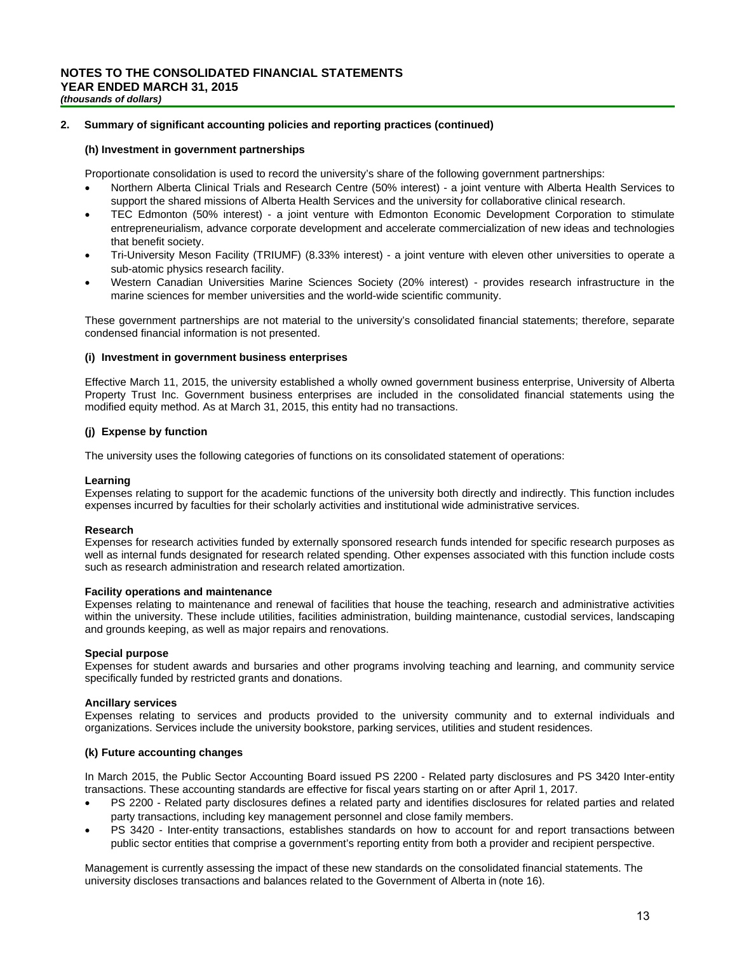#### **2. Summary of significant accounting policies and reporting practices (continued)**

#### **(h) Investment in government partnerships**

Proportionate consolidation is used to record the university's share of the following government partnerships:

- Northern Alberta Clinical Trials and Research Centre (50% interest) a joint venture with Alberta Health Services to support the shared missions of Alberta Health Services and the university for collaborative clinical research.
- TEC Edmonton (50% interest) a joint venture with Edmonton Economic Development Corporation to stimulate entrepreneurialism, advance corporate development and accelerate commercialization of new ideas and technologies that benefit society.
- Tri-University Meson Facility (TRIUMF) (8.33% interest) a joint venture with eleven other universities to operate a sub-atomic physics research facility.
- Western Canadian Universities Marine Sciences Society (20% interest) provides research infrastructure in the marine sciences for member universities and the world-wide scientific community.

These government partnerships are not material to the university's consolidated financial statements; therefore, separate condensed financial information is not presented.

#### **(i) Investment in government business enterprises**

Effective March 11, 2015, the university established a wholly owned government business enterprise, University of Alberta Property Trust Inc. Government business enterprises are included in the consolidated financial statements using the modified equity method. As at March 31, 2015, this entity had no transactions.

#### **(j) Expense by function**

The university uses the following categories of functions on its consolidated statement of operations:

#### **Learning**

Expenses relating to support for the academic functions of the university both directly and indirectly. This function includes expenses incurred by faculties for their scholarly activities and institutional wide administrative services.

#### **Research**

Expenses for research activities funded by externally sponsored research funds intended for specific research purposes as well as internal funds designated for research related spending. Other expenses associated with this function include costs such as research administration and research related amortization.

#### **Facility operations and maintenance**

Expenses relating to maintenance and renewal of facilities that house the teaching, research and administrative activities within the university. These include utilities, facilities administration, building maintenance, custodial services, landscaping and grounds keeping, as well as major repairs and renovations.

#### **Special purpose**

Expenses for student awards and bursaries and other programs involving teaching and learning, and community service specifically funded by restricted grants and donations.

#### **Ancillary services**

Expenses relating to services and products provided to the university community and to external individuals and organizations. Services include the university bookstore, parking services, utilities and student residences.

#### **(k) Future accounting changes**

In March 2015, the Public Sector Accounting Board issued PS 2200 - Related party disclosures and PS 3420 Inter-entity transactions. These accounting standards are effective for fiscal years starting on or after April 1, 2017.

- PS 2200 Related party disclosures defines a related party and identifies disclosures for related parties and related party transactions, including key management personnel and close family members.
- PS 3420 Inter-entity transactions, establishes standards on how to account for and report transactions between public sector entities that comprise a government's reporting entity from both a provider and recipient perspective.

Management is currently assessing the impact of these new standards on the consolidated financial statements. The university discloses transactions and balances related to the Government of Alberta in (note 16).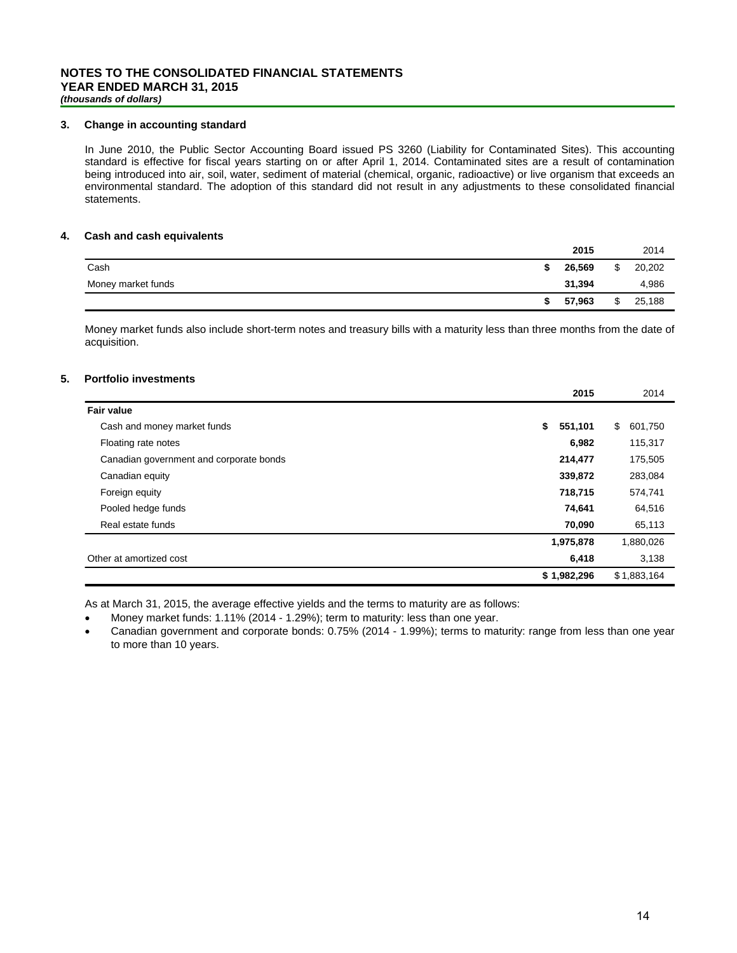#### **3. Change in accounting standard**

In June 2010, the Public Sector Accounting Board issued PS 3260 (Liability for Contaminated Sites). This accounting standard is effective for fiscal years starting on or after April 1, 2014. Contaminated sites are a result of contamination being introduced into air, soil, water, sediment of material (chemical, organic, radioactive) or live organism that exceeds an environmental standard. The adoption of this standard did not result in any adjustments to these consolidated financial statements.

#### **4. Cash and cash equivalents**

|                    |    | 2015   | 2014         |
|--------------------|----|--------|--------------|
| Cash               | c. | 26,569 | \$<br>20,202 |
| Money market funds |    | 31,394 | 4,986        |
|                    |    | 57,963 | \$<br>25,188 |

Money market funds also include short-term notes and treasury bills with a maturity less than three months from the date of acquisition.

#### **5. Portfolio investments**

|                                         | 2015          | 2014          |
|-----------------------------------------|---------------|---------------|
| <b>Fair value</b>                       |               |               |
| Cash and money market funds             | \$<br>551,101 | \$<br>601,750 |
| Floating rate notes                     | 6,982         | 115,317       |
| Canadian government and corporate bonds | 214,477       | 175,505       |
| Canadian equity                         | 339,872       | 283,084       |
| Foreign equity                          | 718,715       | 574,741       |
| Pooled hedge funds                      | 74,641        | 64,516        |
| Real estate funds                       | 70,090        | 65,113        |
|                                         | 1,975,878     | 1,880,026     |
| Other at amortized cost                 | 6,418         | 3,138         |
|                                         | \$1,982,296   | \$1,883,164   |

As at March 31, 2015, the average effective yields and the terms to maturity are as follows:

- Money market funds: 1.11% (2014 1.29%); term to maturity: less than one year.
- Canadian government and corporate bonds: 0.75% (2014 1.99%); terms to maturity: range from less than one year to more than 10 years.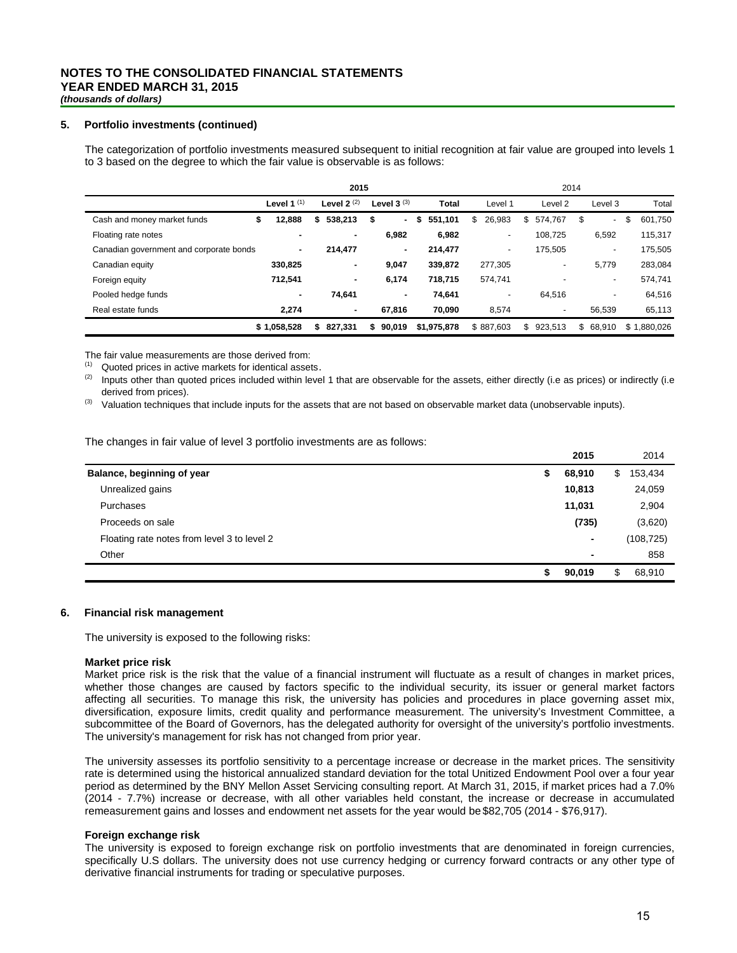#### **5. Portfolio investments (continued)**

The categorization of portfolio investments measured subsequent to initial recognition at fair value are grouped into levels 1 to 3 based on the degree to which the fair value is observable is as follows:

|                                         |               | 2015          |                 |                 |                          | 2014               |                          |               |
|-----------------------------------------|---------------|---------------|-----------------|-----------------|--------------------------|--------------------|--------------------------|---------------|
|                                         | Level 1 $(1)$ | Level $2(2)$  | Level $3^{(3)}$ | <b>Total</b>    | Level 1                  | Level <sub>2</sub> | Level 3                  | Total         |
| Cash and money market funds             | 12,888<br>\$  | 538,213<br>\$ | \$<br>$\sim$    | 551,101<br>- \$ | 26,983<br>\$             | \$574,767          | S<br>٠                   | 601,750<br>\$ |
| Floating rate notes                     |               | ۰             | 6,982           | 6,982           | $\overline{\phantom{a}}$ | 108.725            | 6,592                    | 115,317       |
| Canadian government and corporate bonds | ۰.            | 214,477       | $\sim$          | 214,477         | $\blacksquare$           | 175,505            | $\overline{\phantom{0}}$ | 175,505       |
| Canadian equity                         | 330,825       | ٠             | 9,047           | 339,872         | 277,305                  | -                  | 5,779                    | 283,084       |
| Foreign equity                          | 712,541       | ٠             | 6,174           | 718.715         | 574.741                  |                    | -                        | 574.741       |
| Pooled hedge funds                      | ۰             | 74,641        |                 | 74.641          |                          | 64.516             | ٠                        | 64,516        |
| Real estate funds                       | 2,274         | ٠             | 67,816          | 70,090          | 8,574                    | ۰                  | 56,539                   | 65,113        |
|                                         | \$1.058.528   | 827.331<br>s. | 90.019<br>s.    | \$1.975.878     | \$887.603                | \$923.513          | \$68.910                 | \$1.880.026   |

The fair value measurements are those derived from:

 $(1)$  Quoted prices in active markets for identical assets.

Inputs other than quoted prices included within level 1 that are observable for the assets, either directly (i.e as prices) or indirectly (i.e derived from prices).

(3) Valuation techniques that include inputs for the assets that are not based on observable market data (unobservable inputs).

The changes in fair value of level 3 portfolio investments are as follows:

|                                             |   | 2015           |     | 2014       |
|---------------------------------------------|---|----------------|-----|------------|
| Balance, beginning of year                  | S | 68,910         | \$. | 153,434    |
| Unrealized gains                            |   | 10,813         |     | 24,059     |
| Purchases                                   |   | 11,031         |     | 2,904      |
| Proceeds on sale                            |   | (735)          |     | (3,620)    |
| Floating rate notes from level 3 to level 2 |   | $\blacksquare$ |     | (108, 725) |
| Other                                       |   | $\blacksquare$ |     | 858        |
|                                             |   | 90,019         | \$. | 68,910     |

#### **6. Financial risk management**

The university is exposed to the following risks:

#### **Market price risk**

Market price risk is the risk that the value of a financial instrument will fluctuate as a result of changes in market prices, whether those changes are caused by factors specific to the individual security, its issuer or general market factors affecting all securities. To manage this risk, the university has policies and procedures in place governing asset mix, diversification, exposure limits, credit quality and performance measurement. The university's Investment Committee, a subcommittee of the Board of Governors, has the delegated authority for oversight of the university's portfolio investments. The university's management for risk has not changed from prior year.

The university assesses its portfolio sensitivity to a percentage increase or decrease in the market prices. The sensitivity rate is determined using the historical annualized standard deviation for the total Unitized Endowment Pool over a four year period as determined by the BNY Mellon Asset Servicing consulting report. At March 31, 2015, if market prices had a 7.0% (2014 - 7.7%) increase or decrease, with all other variables held constant, the increase or decrease in accumulated remeasurement gains and losses and endowment net assets for the year would be \$82,705 (2014 - \$76,917).

#### **Foreign exchange risk**

The university is exposed to foreign exchange risk on portfolio investments that are denominated in foreign currencies, specifically U.S dollars. The university does not use currency hedging or currency forward contracts or any other type of derivative financial instruments for trading or speculative purposes.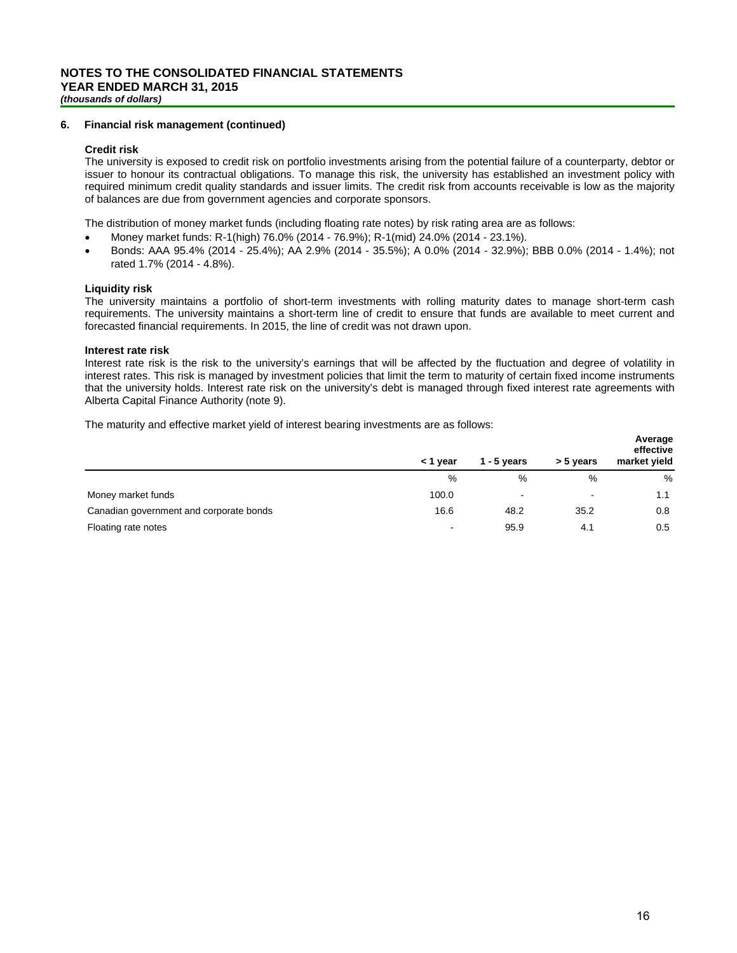#### **6. Financial risk management (continued)**

#### **Credit risk**

The university is exposed to credit risk on portfolio investments arising from the potential failure of a counterparty, debtor or issuer to honour its contractual obligations. To manage this risk, the university has established an investment policy with required minimum credit quality standards and issuer limits. The credit risk from accounts receivable is low as the majority of balances are due from government agencies and corporate sponsors.

The distribution of money market funds (including floating rate notes) by risk rating area are as follows:

- Money market funds: R-1(high) 76.0% (2014 76.9%); R-1(mid) 24.0% (2014 23.1%).
- Bonds: AAA 95.4% (2014 25.4%); AA 2.9% (2014 35.5%); A 0.0% (2014 32.9%); BBB 0.0% (2014 1.4%); not rated 1.7% (2014 - 4.8%).

#### **Liquidity risk**

The university maintains a portfolio of short-term investments with rolling maturity dates to manage short-term cash requirements. The university maintains a short-term line of credit to ensure that funds are available to meet current and forecasted financial requirements. In 2015, the line of credit was not drawn upon.

#### **Interest rate risk**

Interest rate risk is the risk to the university's earnings that will be affected by the fluctuation and degree of volatility in interest rates. This risk is managed by investment policies that limit the term to maturity of certain fixed income instruments that the university holds. Interest rate risk on the university's debt is managed through fixed interest rate agreements with Alberta Capital Finance Authority (note 9).

The maturity and effective market yield of interest bearing investments are as follows:

|                                         | < 1 year                 | 1 - 5 years              | > 5 years | Average<br>effective<br>market yield |
|-----------------------------------------|--------------------------|--------------------------|-----------|--------------------------------------|
|                                         | %                        | %                        | %         | %                                    |
| Money market funds                      | 100.0                    | $\overline{\phantom{a}}$ | $\,$      | 1.1                                  |
| Canadian government and corporate bonds | 16.6                     | 48.2                     | 35.2      | 0.8                                  |
| Floating rate notes                     | $\overline{\phantom{a}}$ | 95.9                     | 4.1       | 0.5                                  |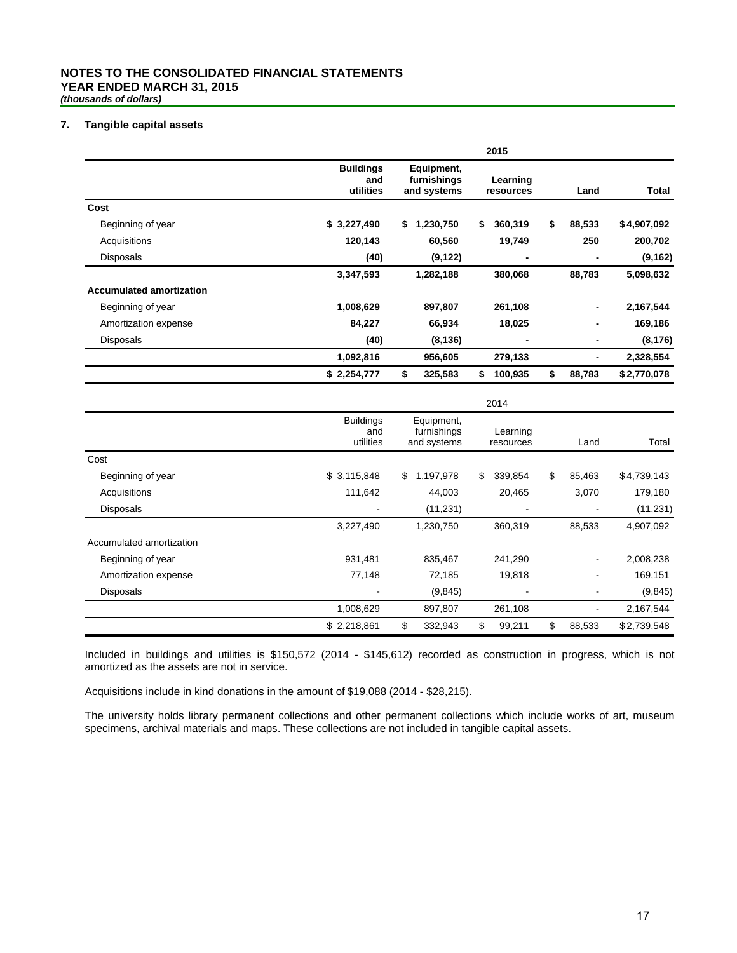#### **NOTES TO THE CONSOLIDATED FINANCIAL STATEMENTS YEAR ENDED MARCH 31, 2015** *(thousands of dollars)*

#### **7. Tangible capital assets**

|                                 |                                      |                                          | 2015                  |                |        |             |
|---------------------------------|--------------------------------------|------------------------------------------|-----------------------|----------------|--------|-------------|
|                                 | <b>Buildings</b><br>and<br>utilities | Equipment,<br>furnishings<br>and systems | Learning<br>resources |                | Land   | Total       |
| Cost                            |                                      |                                          |                       |                |        |             |
| Beginning of year               | \$3,227,490                          | \$<br>1,230,750                          | \$<br>360,319         | \$             | 88,533 | \$4,907,092 |
| Acquisitions                    | 120,143                              | 60,560                                   | 19,749                |                | 250    | 200,702     |
| Disposals                       | (40)                                 | (9, 122)                                 |                       | $\blacksquare$ |        | (9, 162)    |
|                                 | 3,347,593                            | 1,282,188                                | 380,068               |                | 88,783 | 5,098,632   |
| <b>Accumulated amortization</b> |                                      |                                          |                       |                |        |             |
| Beginning of year               | 1,008,629                            | 897,807                                  | 261,108               |                | -      | 2,167,544   |
| Amortization expense            | 84,227                               | 66,934                                   | 18,025                |                | ۰      | 169,186     |
| <b>Disposals</b>                | (40)                                 | (8, 136)                                 |                       | $\blacksquare$ | ۰      | (8, 176)    |
|                                 | 1,092,816                            | 956,605                                  | 279,133               |                |        | 2,328,554   |
|                                 | \$2,254,777                          | \$<br>325,583                            | \$<br>100,935         | \$             | 88,783 | \$2,770,078 |

|                          | 2014                                 |                                          |         |    |                       |    |        |             |  |  |
|--------------------------|--------------------------------------|------------------------------------------|---------|----|-----------------------|----|--------|-------------|--|--|
|                          | <b>Buildings</b><br>and<br>utilities | Equipment,<br>furnishings<br>and systems |         |    | Learning<br>resources |    | Land   | Total       |  |  |
| Cost                     |                                      |                                          |         |    |                       |    |        |             |  |  |
| Beginning of year        | \$3,115,848                          | \$<br>1,197,978                          |         | \$ | 339,854               | \$ | 85,463 | \$4,739,143 |  |  |
| Acquisitions             | 111,642                              | 44,003                                   |         |    | 20,465                |    | 3,070  | 179,180     |  |  |
| <b>Disposals</b>         |                                      | (11, 231)                                |         |    |                       |    |        | (11, 231)   |  |  |
|                          | 3,227,490                            | 1,230,750                                |         |    | 360,319               |    | 88,533 | 4,907,092   |  |  |
| Accumulated amortization |                                      |                                          |         |    |                       |    |        |             |  |  |
| Beginning of year        | 931,481                              | 835,467                                  |         |    | 241,290               |    |        | 2,008,238   |  |  |
| Amortization expense     | 77,148                               |                                          | 72,185  |    | 19,818                |    |        | 169,151     |  |  |
| <b>Disposals</b>         |                                      |                                          | (9,845) |    |                       |    |        | (9, 845)    |  |  |
|                          | 1,008,629                            | 897,807                                  |         |    | 261,108               |    |        | 2,167,544   |  |  |
|                          | \$2,218,861                          | \$<br>332,943                            |         | \$ | 99,211                | \$ | 88,533 | \$2,739,548 |  |  |

Included in buildings and utilities is \$150,572 (2014 - \$145,612) recorded as construction in progress, which is not amortized as the assets are not in service.

Acquisitions include in kind donations in the amount of \$19,088 (2014 - \$28,215).

The university holds library permanent collections and other permanent collections which include works of art, museum specimens, archival materials and maps. These collections are not included in tangible capital assets.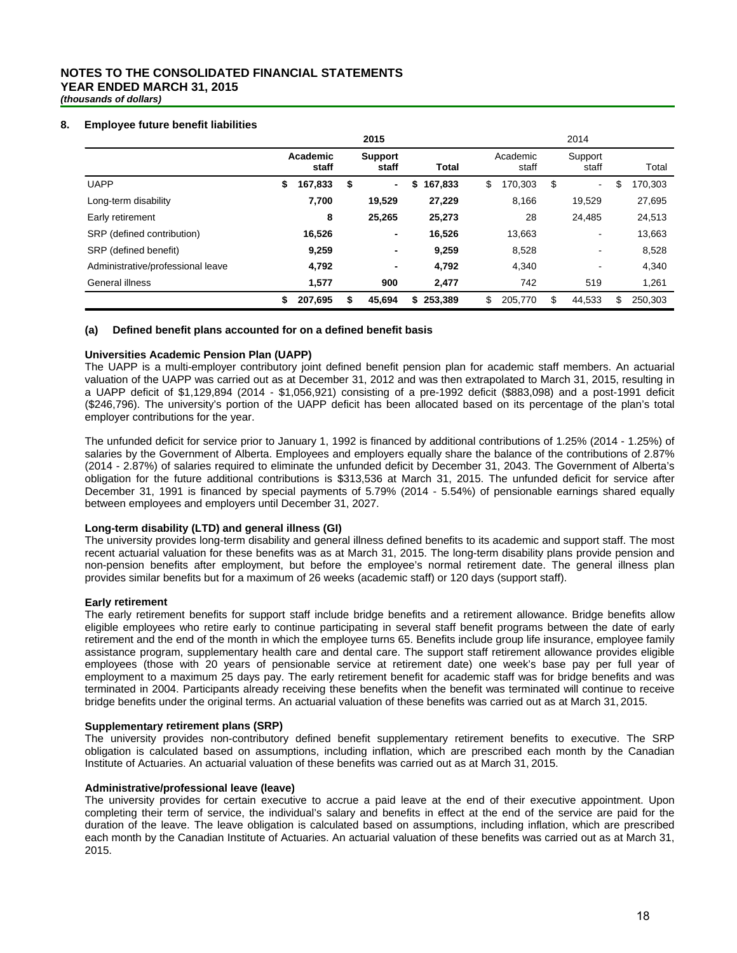# **NOTES TO THE CONSOLIDATED FINANCIAL STATEMENTS YEAR ENDED MARCH 31, 2015**

*(thousands of dollars)*

#### **8. Employee future benefit liabilities**

|                                   | 2015 |                   |    |                         |    |              |    | 2014              |    |                  |    |         |  |
|-----------------------------------|------|-------------------|----|-------------------------|----|--------------|----|-------------------|----|------------------|----|---------|--|
|                                   |      | Academic<br>staff |    | <b>Support</b><br>staff |    | <b>Total</b> |    | Academic<br>staff |    | Support<br>staff |    | Total   |  |
| <b>UAPP</b>                       | \$   | 167,833           | \$ | $\blacksquare$          | \$ | 167,833      | \$ | 170,303           | \$ | ۰.               | \$ | 170,303 |  |
| Long-term disability              |      | 7,700             |    | 19,529                  |    | 27,229       |    | 8,166             |    | 19,529           |    | 27,695  |  |
| Early retirement                  |      | 8                 |    | 25.265                  |    | 25,273       |    | 28                |    | 24.485           |    | 24,513  |  |
| SRP (defined contribution)        |      | 16,526            |    | ٠                       |    | 16,526       |    | 13,663            |    |                  |    | 13,663  |  |
| SRP (defined benefit)             |      | 9,259             |    | ٠                       |    | 9,259        |    | 8,528             |    | ٠                |    | 8,528   |  |
| Administrative/professional leave |      | 4,792             |    | ٠                       |    | 4,792        |    | 4,340             |    | ٠                |    | 4,340   |  |
| General illness                   |      | 1,577             |    | 900                     |    | 2,477        |    | 742               |    | 519              |    | 1,261   |  |
|                                   | \$   | 207,695           | \$ | 45.694                  | \$ | 253.389      | \$ | 205,770           | \$ | 44.533           | \$ | 250.303 |  |

#### **(a) Defined benefit plans accounted for on a defined benefit basis**

#### **Universities Academic Pension Plan (UAPP)**

The UAPP is a multi-employer contributory joint defined benefit pension plan for academic staff members. An actuarial valuation of the UAPP was carried out as at December 31, 2012 and was then extrapolated to March 31, 2015, resulting in a UAPP deficit of \$1,129,894 (2014 - \$1,056,921) consisting of a pre-1992 deficit (\$883,098) and a post-1991 deficit (\$246,796). The university's portion of the UAPP deficit has been allocated based on its percentage of the plan's total employer contributions for the year.

The unfunded deficit for service prior to January 1, 1992 is financed by additional contributions of 1.25% (2014 - 1.25%) of salaries by the Government of Alberta. Employees and employers equally share the balance of the contributions of 2.87% (2014 - 2.87%) of salaries required to eliminate the unfunded deficit by December 31, 2043. The Government of Alberta's obligation for the future additional contributions is \$313,536 at March 31, 2015. The unfunded deficit for service after December 31, 1991 is financed by special payments of 5.79% (2014 - 5.54%) of pensionable earnings shared equally between employees and employers until December 31, 2027.

#### **Long-term disability (LTD) and general illness (GI)**

The university provides long-term disability and general illness defined benefits to its academic and support staff. The most recent actuarial valuation for these benefits was as at March 31, 2015. The long-term disability plans provide pension and non-pension benefits after employment, but before the employee's normal retirement date. The general illness plan provides similar benefits but for a maximum of 26 weeks (academic staff) or 120 days (support staff).

#### **Early retirement**

The early retirement benefits for support staff include bridge benefits and a retirement allowance. Bridge benefits allow eligible employees who retire early to continue participating in several staff benefit programs between the date of early retirement and the end of the month in which the employee turns 65. Benefits include group life insurance, employee family assistance program, supplementary health care and dental care. The support staff retirement allowance provides eligible employees (those with 20 years of pensionable service at retirement date) one week's base pay per full year of employment to a maximum 25 days pay. The early retirement benefit for academic staff was for bridge benefits and was terminated in 2004. Participants already receiving these benefits when the benefit was terminated will continue to receive bridge benefits under the original terms. An actuarial valuation of these benefits was carried out as at March 31, 2015.

#### **Supplementary retirement plans (SRP)**

The university provides non-contributory defined benefit supplementary retirement benefits to executive. The SRP obligation is calculated based on assumptions, including inflation, which are prescribed each month by the Canadian Institute of Actuaries. An actuarial valuation of these benefits was carried out as at March 31, 2015.

#### **Administrative/professional leave (leave)**

The university provides for certain executive to accrue a paid leave at the end of their executive appointment. Upon completing their term of service, the individual's salary and benefits in effect at the end of the service are paid for the duration of the leave. The leave obligation is calculated based on assumptions, including inflation, which are prescribed each month by the Canadian Institute of Actuaries. An actuarial valuation of these benefits was carried out as at March 31, 2015.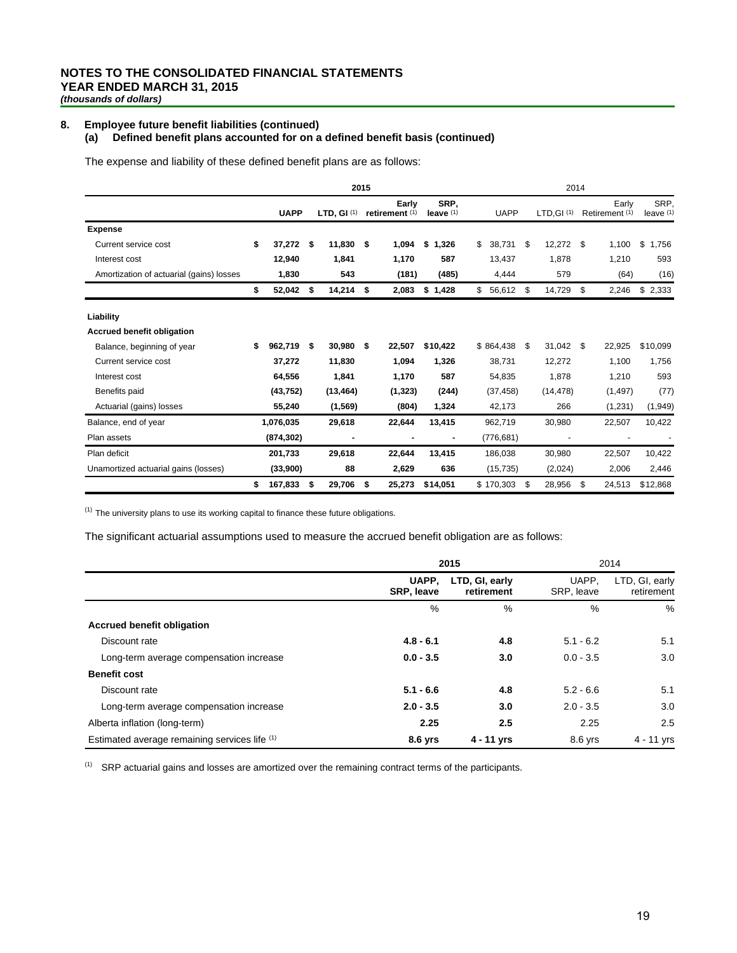#### **8. Employee future benefit liabilities (continued)**

#### **(a) Defined benefit plans accounted for on a defined benefit basis (continued)**

The expense and liability of these defined benefit plans are as follows:

|                                          |                 |     |               | 2015 |                         |                     |              | 2014            |     |                         |                     |
|------------------------------------------|-----------------|-----|---------------|------|-------------------------|---------------------|--------------|-----------------|-----|-------------------------|---------------------|
|                                          | <b>UAPP</b>     |     | LTD, GI $(1)$ |      | Early<br>retirement (1) | SRP.<br>leave $(1)$ | <b>UAPP</b>  | $LTD, GI$ $(1)$ |     | Early<br>Retirement (1) | SRP.<br>leave $(1)$ |
| <b>Expense</b>                           |                 |     |               |      |                         |                     |              |                 |     |                         |                     |
| Current service cost                     | \$<br>37,272 \$ |     | 11,830 \$     |      | 1,094                   | \$<br>1,326         | \$<br>38,731 | \$<br>12,272    | -\$ | 1,100                   | \$<br>1,756         |
| Interest cost                            | 12,940          |     | 1,841         |      | 1,170                   | 587                 | 13,437       | 1,878           |     | 1,210                   | 593                 |
| Amortization of actuarial (gains) losses | 1,830           |     | 543           |      | (181)                   | (485)               | 4,444        | 579             |     | (64)                    | (16)                |
|                                          | \$<br>52,042    | \$  | 14,214        | - \$ | 2,083                   | \$1,428             | \$<br>56,612 | \$<br>14,729    | \$  | 2,246                   | \$2,333             |
| Liability                                |                 |     |               |      |                         |                     |              |                 |     |                         |                     |
| <b>Accrued benefit obligation</b>        |                 |     |               |      |                         |                     |              |                 |     |                         |                     |
| Balance, beginning of year               | \$<br>962,719   | -\$ | 30,980        | - \$ | 22,507                  | \$10,422            | \$864,438    | \$<br>31,042    | \$  | 22,925                  | \$10,099            |
| Current service cost                     | 37,272          |     | 11,830        |      | 1,094                   | 1,326               | 38,731       | 12,272          |     | 1,100                   | 1,756               |
| Interest cost                            | 64,556          |     | 1,841         |      | 1,170                   | 587                 | 54,835       | 1,878           |     | 1,210                   | 593                 |
| Benefits paid                            | (43, 752)       |     | (13, 464)     |      | (1, 323)                | (244)               | (37, 458)    | (14, 478)       |     | (1, 497)                | (77)                |
| Actuarial (gains) losses                 | 55,240          |     | (1, 569)      |      | (804)                   | 1,324               | 42,173       | 266             |     | (1,231)                 | (1,949)             |
| Balance, end of year                     | 1,076,035       |     | 29,618        |      | 22,644                  | 13,415              | 962,719      | 30,980          |     | 22,507                  | 10,422              |
| Plan assets                              | (874, 302)      |     |               |      |                         |                     | (776, 681)   |                 |     |                         |                     |
| Plan deficit                             | 201,733         |     | 29,618        |      | 22,644                  | 13,415              | 186,038      | 30,980          |     | 22,507                  | 10,422              |
| Unamortized actuarial gains (losses)     | (33,900)        |     | 88            |      | 2,629                   | 636                 | (15, 735)    | (2,024)         |     | 2,006                   | 2,446               |
|                                          | \$<br>167,833   | \$  | 29,706        | \$   | 25,273                  | \$14,051            | \$170,303    | \$<br>28,956    | \$  | 24,513                  | \$12,868            |

 $(1)$  The university plans to use its working capital to finance these future obligations.

The significant actuarial assumptions used to measure the accrued benefit obligation are as follows:

|                                               |                            | 2015                |                              | 2014       |
|-----------------------------------------------|----------------------------|---------------------|------------------------------|------------|
|                                               | UAPP,<br><b>SRP, leave</b> | UAPP.<br>SRP, leave | LTD, GI, early<br>retirement |            |
|                                               | %                          | %                   | $\%$                         | %          |
| <b>Accrued benefit obligation</b>             |                            |                     |                              |            |
| Discount rate                                 | $4.8 - 6.1$                | 4.8                 | $5.1 - 6.2$                  | 5.1        |
| Long-term average compensation increase       | $0.0 - 3.5$                | 3.0                 | $0.0 - 3.5$                  | 3.0        |
| <b>Benefit cost</b>                           |                            |                     |                              |            |
| Discount rate                                 | $5.1 - 6.6$                | 4.8                 | $5.2 - 6.6$                  | 5.1        |
| Long-term average compensation increase       | $2.0 - 3.5$                | 3.0                 | $2.0 - 3.5$                  | 3.0        |
| Alberta inflation (long-term)                 | 2.25                       | 2.5                 | 2.25                         | 2.5        |
| Estimated average remaining services life (1) | 8.6 yrs                    | $4 - 11$ yrs        | 8.6 yrs                      | 4 - 11 yrs |

 $(1)$  SRP actuarial gains and losses are amortized over the remaining contract terms of the participants.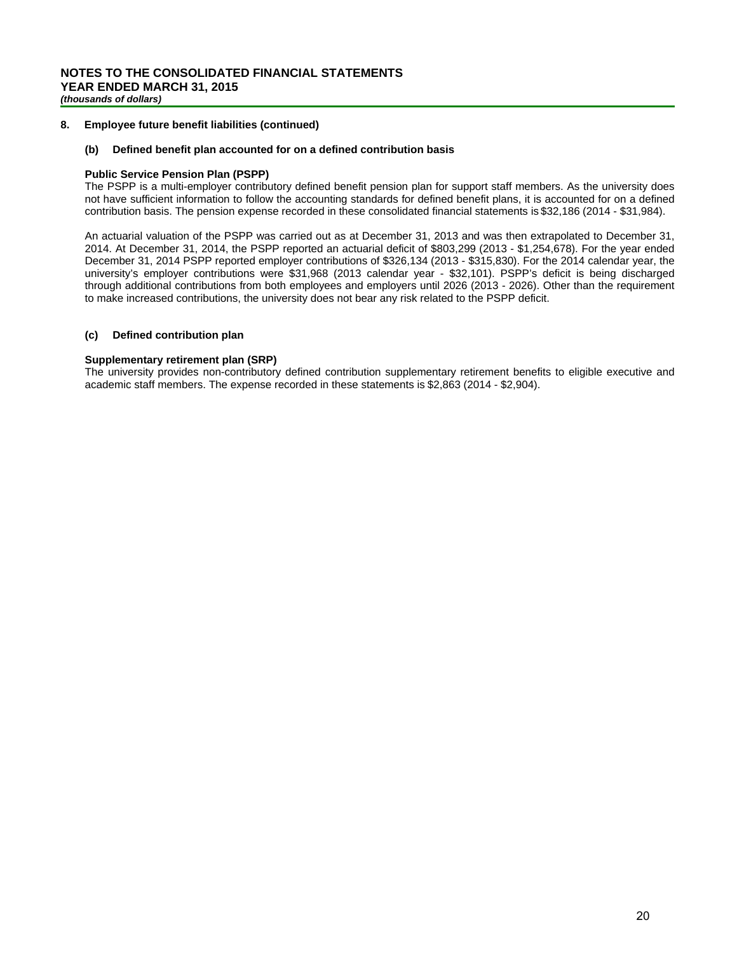#### **8. Employee future benefit liabilities (continued)**

#### **(b) Defined benefit plan accounted for on a defined contribution basis**

#### **Public Service Pension Plan (PSPP)**

The PSPP is a multi-employer contributory defined benefit pension plan for support staff members. As the university does not have sufficient information to follow the accounting standards for defined benefit plans, it is accounted for on a defined contribution basis. The pension expense recorded in these consolidated financial statements is \$32,186 (2014 - \$31,984).

An actuarial valuation of the PSPP was carried out as at December 31, 2013 and was then extrapolated to December 31, 2014. At December 31, 2014, the PSPP reported an actuarial deficit of \$803,299 (2013 - \$1,254,678). For the year ended December 31, 2014 PSPP reported employer contributions of \$326,134 (2013 - \$315,830). For the 2014 calendar year, the university's employer contributions were \$31,968 (2013 calendar year - \$32,101). PSPP's deficit is being discharged through additional contributions from both employees and employers until 2026 (2013 - 2026). Other than the requirement to make increased contributions, the university does not bear any risk related to the PSPP deficit.

#### **(c) Defined contribution plan**

#### **Supplementary retirement plan (SRP)**

The university provides non-contributory defined contribution supplementary retirement benefits to eligible executive and academic staff members. The expense recorded in these statements is \$2,863 (2014 - \$2,904).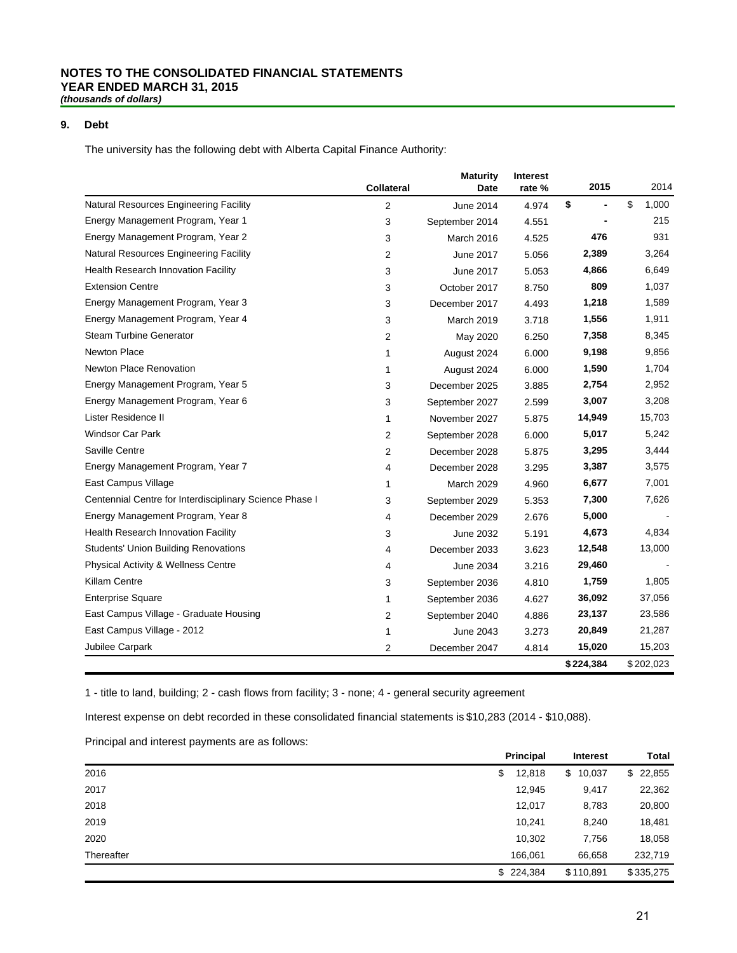# **NOTES TO THE CONSOLIDATED FINANCIAL STATEMENTS YEAR ENDED MARCH 31, 2015**

*(thousands of dollars)*

### **9. Debt**

The university has the following debt with Alberta Capital Finance Authority:

|                                                         | <b>Collateral</b> | <b>Maturity</b><br>Date | Interest<br>rate % | 2015      |             | 2014  |
|---------------------------------------------------------|-------------------|-------------------------|--------------------|-----------|-------------|-------|
| Natural Resources Engineering Facility                  | 2                 | June 2014               | 4.974              | \$        | \$<br>1,000 |       |
| Energy Management Program, Year 1                       | 3                 | September 2014          | 4.551              |           |             | 215   |
| Energy Management Program, Year 2                       | 3                 | March 2016              | 4.525              | 476       |             | 931   |
| Natural Resources Engineering Facility                  | 2                 | June 2017               | 5.056              | 2,389     | 3,264       |       |
| Health Research Innovation Facility                     | 3                 | June 2017               | 5.053              | 4,866     | 6,649       |       |
| <b>Extension Centre</b>                                 | 3                 | October 2017            | 8.750              | 809       | 1,037       |       |
| Energy Management Program, Year 3                       | 3                 | December 2017           | 4.493              | 1,218     | 1,589       |       |
| Energy Management Program, Year 4                       | 3                 | March 2019              | 3.718              | 1,556     | 1,911       |       |
| <b>Steam Turbine Generator</b>                          | 2                 | May 2020                | 6.250              | 7,358     | 8,345       |       |
| Newton Place                                            | 1                 | August 2024             | 6.000              | 9,198     | 9,856       |       |
| <b>Newton Place Renovation</b>                          | 1                 | August 2024             | 6.000              | 1,590     | 1,704       |       |
| Energy Management Program, Year 5                       | 3                 | December 2025           | 3.885              | 2,754     | 2,952       |       |
| Energy Management Program, Year 6                       | 3                 | September 2027          | 2.599              | 3,007     | 3,208       |       |
| Lister Residence II                                     | 1                 | November 2027           | 5.875              | 14,949    | 15,703      |       |
| <b>Windsor Car Park</b>                                 | 2                 | September 2028          | 6.000              | 5,017     | 5,242       |       |
| Saville Centre                                          | 2                 | December 2028           | 5.875              | 3,295     | 3,444       |       |
| Energy Management Program, Year 7                       | 4                 | December 2028           | 3.295              | 3,387     | 3,575       |       |
| East Campus Village                                     | 1                 | <b>March 2029</b>       | 4.960              | 6,677     | 7,001       |       |
| Centennial Centre for Interdisciplinary Science Phase I | 3                 | September 2029          | 5.353              | 7,300     |             | 7,626 |
| Energy Management Program, Year 8                       | 4                 | December 2029           | 2.676              | 5,000     |             |       |
| Health Research Innovation Facility                     | 3                 | June 2032               | 5.191              | 4,673     | 4,834       |       |
| <b>Students' Union Building Renovations</b>             | 4                 | December 2033           | 3.623              | 12,548    | 13,000      |       |
| Physical Activity & Wellness Centre                     | 4                 | <b>June 2034</b>        | 3.216              | 29,460    |             |       |
| Killam Centre                                           | 3                 | September 2036          | 4.810              | 1,759     |             | 1,805 |
| <b>Enterprise Square</b>                                | 1                 | September 2036          | 4.627              | 36,092    | 37,056      |       |
| East Campus Village - Graduate Housing                  | 2                 | September 2040          | 4.886              | 23,137    | 23,586      |       |
| East Campus Village - 2012                              | 1                 | June 2043               | 3.273              | 20,849    | 21,287      |       |
| Jubilee Carpark                                         | 2                 | December 2047           | 4.814              | 15,020    | 15,203      |       |
|                                                         |                   |                         |                    | \$224,384 | \$202,023   |       |

1 - title to land, building; 2 - cash flows from facility; 3 - none; 4 - general security agreement

Interest expense on debt recorded in these consolidated financial statements is \$10,283 (2014 - \$10,088).

Principal and interest payments are as follows:

|            | <b>Principal</b> | <b>Interest</b> | Total     |
|------------|------------------|-----------------|-----------|
| 2016       | 12,818<br>\$     | \$<br>10,037    | \$22,855  |
| 2017       | 12,945           | 9,417           | 22,362    |
| 2018       | 12,017           | 8,783           | 20,800    |
| 2019       | 10,241           | 8,240           | 18,481    |
| 2020       | 10,302           | 7,756           | 18,058    |
| Thereafter | 166,061          | 66,658          | 232,719   |
|            | \$224,384        | \$110,891       | \$335,275 |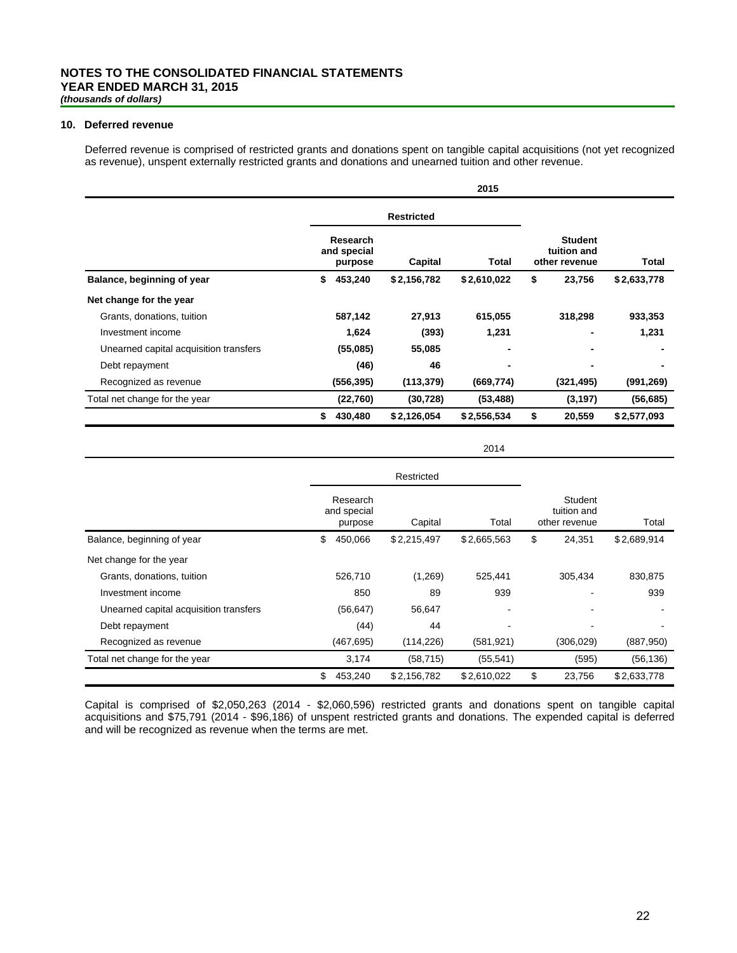#### **10. Deferred revenue**

Deferred revenue is comprised of restricted grants and donations spent on tangible capital acquisitions (not yet recognized as revenue), unspent externally restricted grants and donations and unearned tuition and other revenue.

|                                        |                                    |                   | 2015        |                                                |                |
|----------------------------------------|------------------------------------|-------------------|-------------|------------------------------------------------|----------------|
|                                        |                                    | <b>Restricted</b> |             |                                                |                |
|                                        | Research<br>and special<br>purpose | Capital           | Total       | <b>Student</b><br>tuition and<br>other revenue | Total          |
| Balance, beginning of year             | 453,240<br>\$                      | \$2,156,782       | \$2,610,022 | \$<br>23,756                                   | \$2,633,778    |
| Net change for the year                |                                    |                   |             |                                                |                |
| Grants, donations, tuition             | 587,142                            | 27,913            | 615,055     | 318,298                                        | 933,353        |
| Investment income                      | 1,624                              | (393)             | 1,231       |                                                | 1,231          |
| Unearned capital acquisition transfers | (55,085)                           | 55,085            | ٠           | $\blacksquare$                                 |                |
| Debt repayment                         | (46)                               | 46                |             | $\blacksquare$                                 | $\blacksquare$ |
| Recognized as revenue                  | (556, 395)                         | (113, 379)        | (669,774)   | (321, 495)                                     | (991, 269)     |
| Total net change for the year          | (22,760)                           | (30, 728)         | (53, 488)   | (3, 197)                                       | (56, 685)      |
|                                        | \$<br>430,480                      | \$2,126,054       | \$2,556,534 | \$<br>20,559                                   | \$2,577,093    |

2014

|                                        | Restricted                         |                                                             |                          |    |            |             |  |  |  |
|----------------------------------------|------------------------------------|-------------------------------------------------------------|--------------------------|----|------------|-------------|--|--|--|
|                                        | Research<br>and special<br>purpose | Student<br>tuition and<br>Total<br>Capital<br>other revenue |                          |    |            |             |  |  |  |
| Balance, beginning of year             | \$<br>450,066                      | \$2,215,497                                                 | \$2,665,563              | \$ | 24,351     | \$2,689,914 |  |  |  |
| Net change for the year                |                                    |                                                             |                          |    |            |             |  |  |  |
| Grants, donations, tuition             | 526,710                            | (1,269)                                                     | 525.441                  |    | 305,434    | 830.875     |  |  |  |
| Investment income                      | 850                                | 89                                                          | 939                      |    | -          | 939         |  |  |  |
| Unearned capital acquisition transfers | (56, 647)                          | 56,647                                                      | $\overline{\phantom{a}}$ |    |            |             |  |  |  |
| Debt repayment                         | (44)                               | 44                                                          |                          |    |            |             |  |  |  |
| Recognized as revenue                  | (467, 695)                         | (114, 226)                                                  | (581, 921)               |    | (306, 029) | (887,950)   |  |  |  |
| Total net change for the year          | 3,174                              | (58, 715)                                                   | (55, 541)                |    | (595)      | (56, 136)   |  |  |  |
|                                        | \$<br>453,240                      | \$2,156,782                                                 | \$2.610.022              | \$ | 23,756     | \$2,633,778 |  |  |  |

Capital is comprised of \$2,050,263 (2014 - \$2,060,596) restricted grants and donations spent on tangible capital acquisitions and \$75,791 (2014 - \$96,186) of unspent restricted grants and donations. The expended capital is deferred and will be recognized as revenue when the terms are met.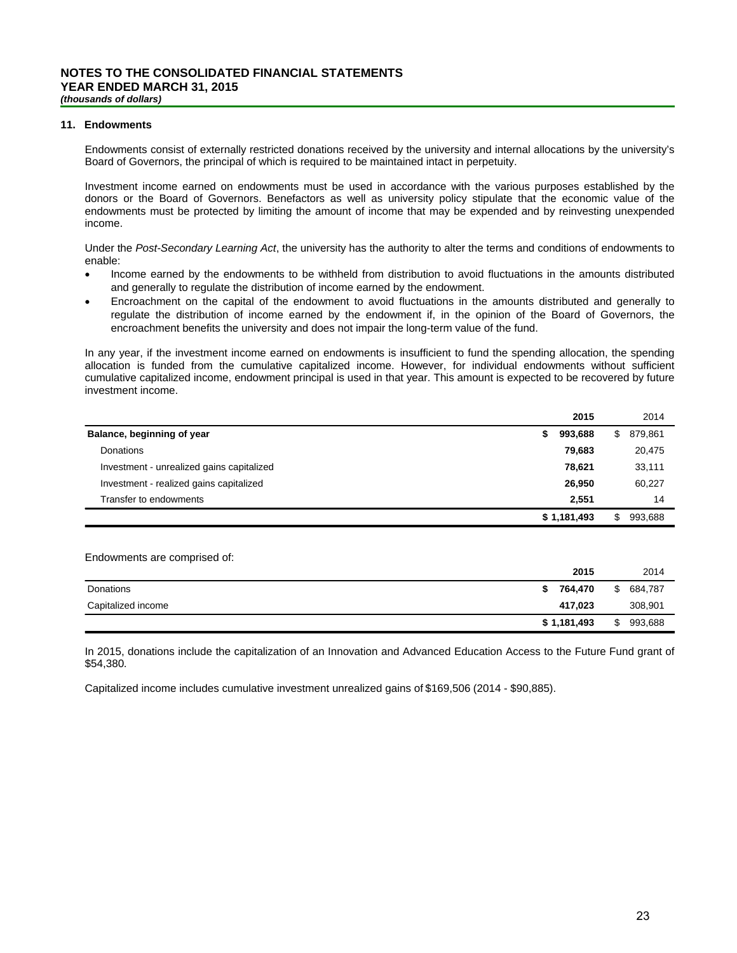#### **11. Endowments**

Endowments consist of externally restricted donations received by the university and internal allocations by the university's Board of Governors, the principal of which is required to be maintained intact in perpetuity.

Investment income earned on endowments must be used in accordance with the various purposes established by the donors or the Board of Governors. Benefactors as well as university policy stipulate that the economic value of the endowments must be protected by limiting the amount of income that may be expended and by reinvesting unexpended income.

Under the *Post-Secondary Learning Act*, the university has the authority to alter the terms and conditions of endowments to enable:

- Income earned by the endowments to be withheld from distribution to avoid fluctuations in the amounts distributed and generally to regulate the distribution of income earned by the endowment.
- Encroachment on the capital of the endowment to avoid fluctuations in the amounts distributed and generally to regulate the distribution of income earned by the endowment if, in the opinion of the Board of Governors, the encroachment benefits the university and does not impair the long-term value of the fund.

In any year, if the investment income earned on endowments is insufficient to fund the spending allocation, the spending allocation is funded from the cumulative capitalized income. However, for individual endowments without sufficient cumulative capitalized income, endowment principal is used in that year. This amount is expected to be recovered by future investment income.

|                                           |   | 2015        | 2014          |
|-------------------------------------------|---|-------------|---------------|
| Balance, beginning of year                | S | 993,688     | \$<br>879,861 |
| Donations                                 |   | 79.683      | 20,475        |
| Investment - unrealized gains capitalized |   | 78.621      | 33,111        |
| Investment - realized gains capitalized   |   | 26,950      | 60,227        |
| Transfer to endowments                    |   | 2.551       | 14            |
|                                           |   | \$1,181,493 | 993,688       |
|                                           |   |             |               |

Endowments are comprised of:

|                    | 2015        | 2014          |
|--------------------|-------------|---------------|
| <b>Donations</b>   | 764.470     | \$<br>684,787 |
| Capitalized income | 417.023     | 308,901       |
|                    | \$1,181,493 | \$<br>993,688 |

In 2015, donations include the capitalization of an Innovation and Advanced Education Access to the Future Fund grant of \$54,380.

Capitalized income includes cumulative investment unrealized gains of \$169,506 (2014 - \$90,885).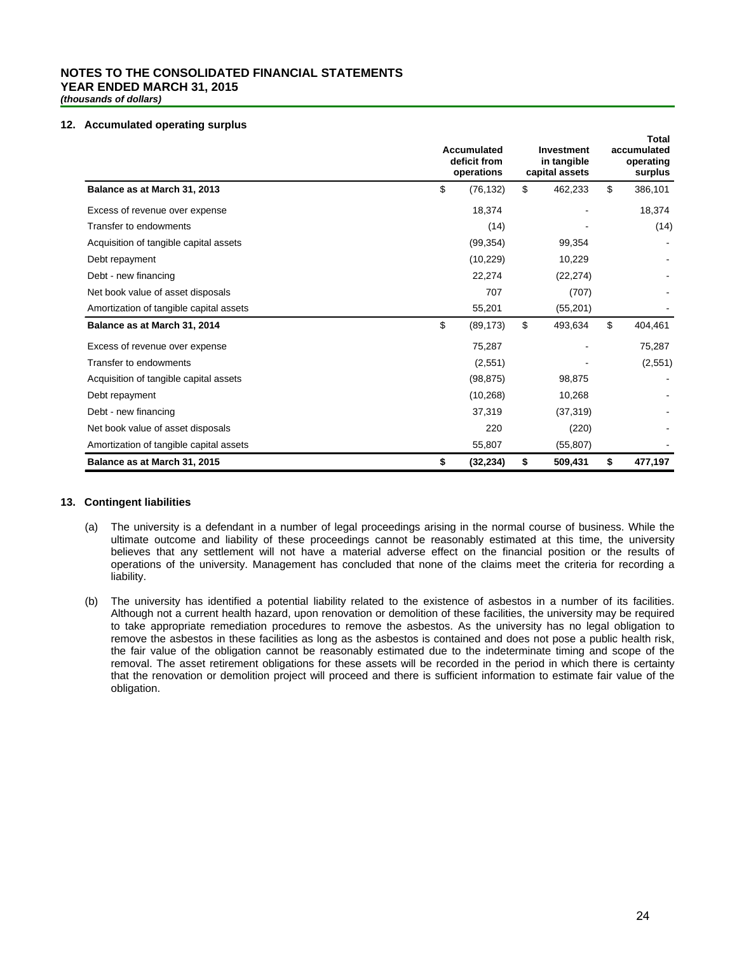# **NOTES TO THE CONSOLIDATED FINANCIAL STATEMENTS YEAR ENDED MARCH 31, 2015**

*(thousands of dollars)*

#### **12. Accumulated operating surplus**

|                                         | Accumulated<br>deficit from<br>operations | <b>Investment</b><br>in tangible<br>capital assets | Total<br>accumulated<br>operating<br>surplus |  |
|-----------------------------------------|-------------------------------------------|----------------------------------------------------|----------------------------------------------|--|
| Balance as at March 31, 2013            | \$<br>(76, 132)                           | \$<br>462,233                                      | \$<br>386,101                                |  |
| Excess of revenue over expense          | 18,374                                    |                                                    | 18,374                                       |  |
| Transfer to endowments                  | (14)                                      |                                                    | (14)                                         |  |
| Acquisition of tangible capital assets  | (99, 354)                                 | 99,354                                             |                                              |  |
| Debt repayment                          | (10, 229)                                 | 10,229                                             |                                              |  |
| Debt - new financing                    | 22,274                                    | (22, 274)                                          |                                              |  |
| Net book value of asset disposals       | 707                                       | (707)                                              |                                              |  |
| Amortization of tangible capital assets | 55,201                                    | (55, 201)                                          |                                              |  |
| Balance as at March 31, 2014            | \$<br>(89, 173)                           | \$<br>493,634                                      | \$<br>404,461                                |  |
| Excess of revenue over expense          | 75,287                                    |                                                    | 75,287                                       |  |
| Transfer to endowments                  | (2,551)                                   |                                                    | (2,551)                                      |  |
| Acquisition of tangible capital assets  | (98, 875)                                 | 98,875                                             |                                              |  |
| Debt repayment                          | (10, 268)                                 | 10,268                                             |                                              |  |
| Debt - new financing                    | 37,319                                    | (37, 319)                                          |                                              |  |
| Net book value of asset disposals       | 220                                       | (220)                                              |                                              |  |
| Amortization of tangible capital assets | 55,807                                    | (55, 807)                                          |                                              |  |
| Balance as at March 31, 2015            | \$<br>(32, 234)                           | \$<br>509,431                                      | \$<br>477,197                                |  |

#### **13. Contingent liabilities**

- (a) The university is a defendant in a number of legal proceedings arising in the normal course of business. While the ultimate outcome and liability of these proceedings cannot be reasonably estimated at this time, the university believes that any settlement will not have a material adverse effect on the financial position or the results of operations of the university. Management has concluded that none of the claims meet the criteria for recording a liability.
- (b) The university has identified a potential liability related to the existence of asbestos in a number of its facilities. Although not a current health hazard, upon renovation or demolition of these facilities, the university may be required to take appropriate remediation procedures to remove the asbestos. As the university has no legal obligation to remove the asbestos in these facilities as long as the asbestos is contained and does not pose a public health risk, the fair value of the obligation cannot be reasonably estimated due to the indeterminate timing and scope of the removal. The asset retirement obligations for these assets will be recorded in the period in which there is certainty that the renovation or demolition project will proceed and there is sufficient information to estimate fair value of the obligation.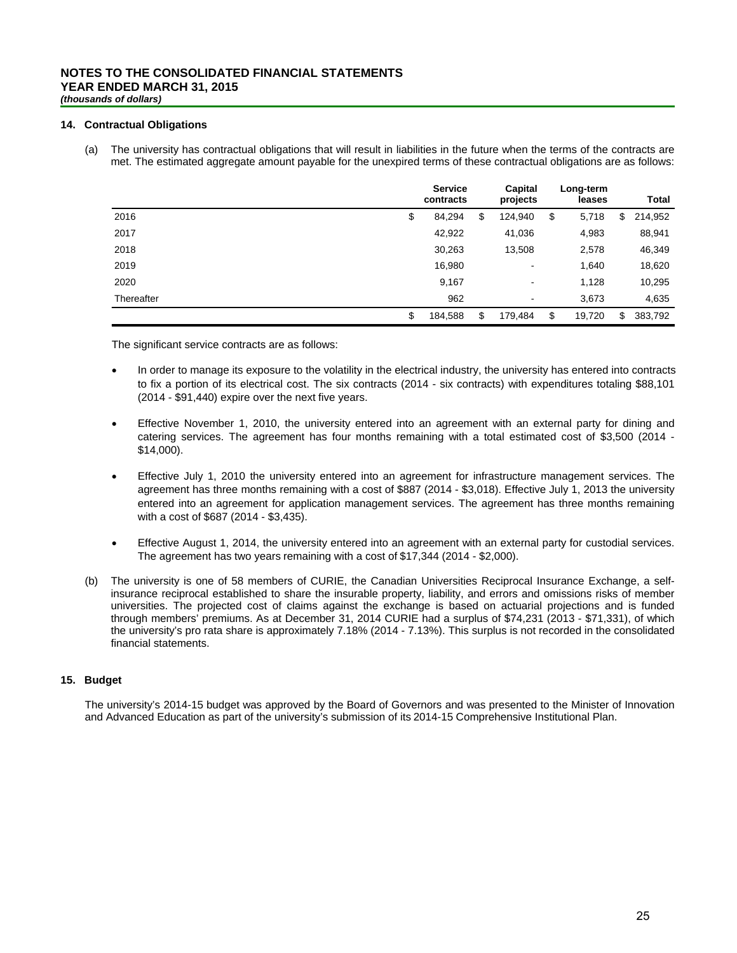#### **14. Contractual Obligations**

(a) The university has contractual obligations that will result in liabilities in the future when the terms of the contracts are met. The estimated aggregate amount payable for the unexpired terms of these contractual obligations are as follows:

|            | <b>Service</b><br>contracts | Capital<br>projects | Long-term<br>leases | <b>Total</b>  |
|------------|-----------------------------|---------------------|---------------------|---------------|
| 2016       | \$<br>84,294                | \$<br>124,940       | \$<br>5,718         | \$<br>214,952 |
| 2017       | 42,922                      | 41,036              | 4,983               | 88,941        |
| 2018       | 30,263                      | 13,508              | 2,578               | 46,349        |
| 2019       | 16,980                      | $\,$                | 1,640               | 18,620        |
| 2020       | 9,167                       | $\,$                | 1,128               | 10,295        |
| Thereafter | 962                         | ۰                   | 3,673               | 4,635         |
|            | \$<br>184,588               | \$<br>179,484       | \$<br>19,720        | \$<br>383,792 |

The significant service contracts are as follows:

- In order to manage its exposure to the volatility in the electrical industry, the university has entered into contracts to fix a portion of its electrical cost. The six contracts (2014 - six contracts) with expenditures totaling \$88,101 (2014 - \$91,440) expire over the next five years.
- Effective November 1, 2010, the university entered into an agreement with an external party for dining and catering services. The agreement has four months remaining with a total estimated cost of \$3,500 (2014 - \$14,000).
- Effective July 1, 2010 the university entered into an agreement for infrastructure management services. The agreement has three months remaining with a cost of \$887 (2014 - \$3,018). Effective July 1, 2013 the university entered into an agreement for application management services. The agreement has three months remaining with a cost of \$687 (2014 - \$3,435).
- Effective August 1, 2014, the university entered into an agreement with an external party for custodial services. The agreement has two years remaining with a cost of \$17,344 (2014 - \$2,000).
- (b) The university is one of 58 members of CURIE, the Canadian Universities Reciprocal Insurance Exchange, a selfinsurance reciprocal established to share the insurable property, liability, and errors and omissions risks of member universities. The projected cost of claims against the exchange is based on actuarial projections and is funded through members' premiums. As at December 31, 2014 CURIE had a surplus of \$74,231 (2013 - \$71,331), of which the university's pro rata share is approximately 7.18% (2014 - 7.13%). This surplus is not recorded in the consolidated financial statements.

#### **15. Budget**

The university's 2014-15 budget was approved by the Board of Governors and was presented to the Minister of Innovation and Advanced Education as part of the university's submission of its 2014-15 Comprehensive Institutional Plan.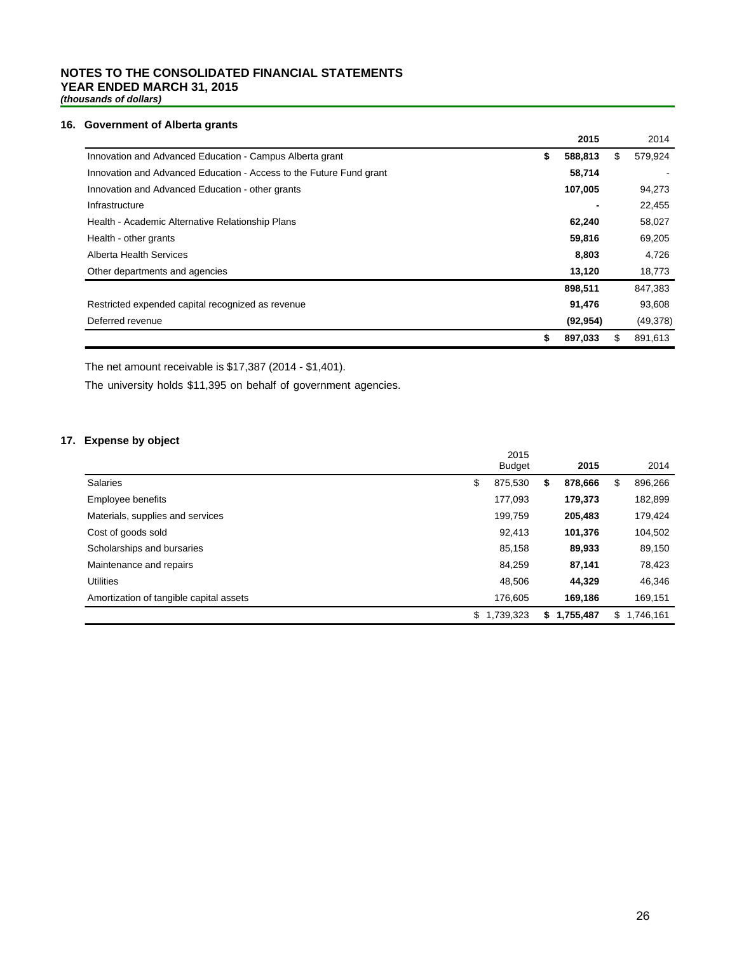# **NOTES TO THE CONSOLIDATED FINANCIAL STATEMENTS YEAR ENDED MARCH 31, 2015**

*(thousands of dollars)*

#### **16. Government of Alberta grants**

|                                                                     | 2015          | 2014          |
|---------------------------------------------------------------------|---------------|---------------|
| Innovation and Advanced Education - Campus Alberta grant            | \$<br>588,813 | \$<br>579,924 |
| Innovation and Advanced Education - Access to the Future Fund grant | 58,714        |               |
| Innovation and Advanced Education - other grants                    | 107,005       | 94,273        |
| Infrastructure                                                      |               | 22,455        |
| Health - Academic Alternative Relationship Plans                    | 62,240        | 58,027        |
| Health - other grants                                               | 59,816        | 69,205        |
| Alberta Health Services                                             | 8,803         | 4,726         |
| Other departments and agencies                                      | 13,120        | 18,773        |
|                                                                     | 898,511       | 847,383       |
| Restricted expended capital recognized as revenue                   | 91,476        | 93,608        |
| Deferred revenue                                                    | (92, 954)     | (49, 378)     |
|                                                                     | \$<br>897,033 | \$<br>891,613 |

The net amount receivable is \$17,387 (2014 - \$1,401).

The university holds \$11,395 on behalf of government agencies.

### **17. Expense by object**

|                                         | 2015<br><b>Budget</b> |    | 2015      |    | 2014      |
|-----------------------------------------|-----------------------|----|-----------|----|-----------|
| <b>Salaries</b>                         | \$<br>875.530         | S  | 878.666   | \$ | 896,266   |
| Employee benefits                       | 177,093               |    | 179,373   |    | 182,899   |
| Materials, supplies and services        | 199,759               |    | 205,483   |    | 179,424   |
| Cost of goods sold                      | 92,413                |    | 101,376   |    | 104,502   |
| Scholarships and bursaries              | 85,158                |    | 89,933    |    | 89,150    |
| Maintenance and repairs                 | 84.259                |    | 87.141    |    | 78,423    |
| <b>Utilities</b>                        | 48.506                |    | 44.329    |    | 46,346    |
| Amortization of tangible capital assets | 176.605               |    | 169.186   |    | 169,151   |
|                                         | 1,739,323<br>\$       | S. | 1,755,487 | S. | 1,746,161 |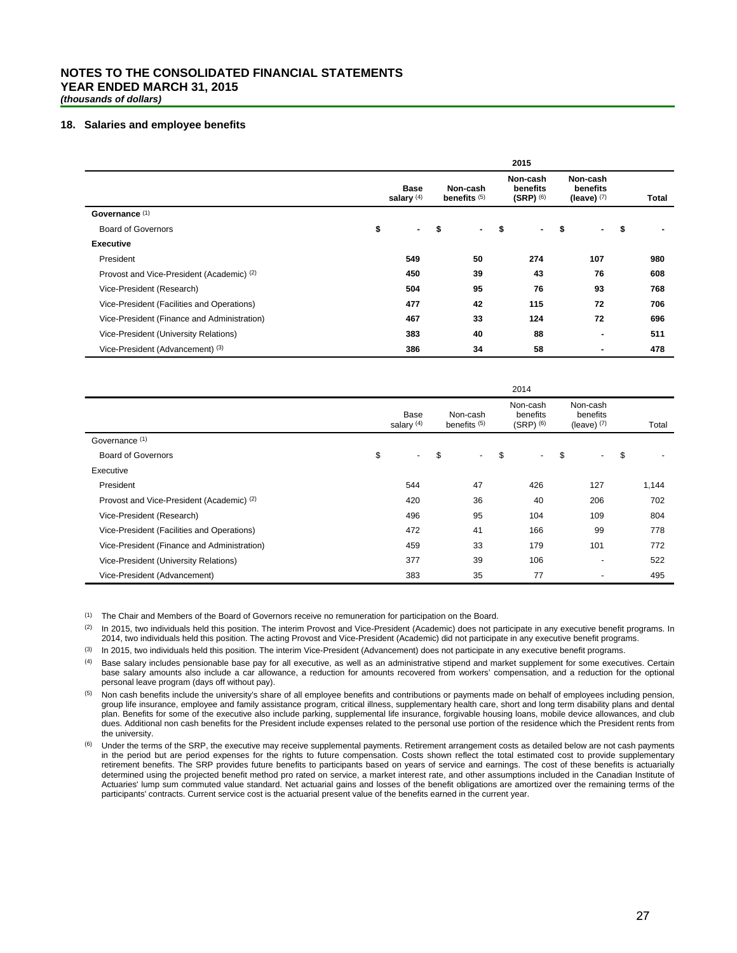# **NOTES TO THE CONSOLIDATED FINANCIAL STATEMENTS YEAR ENDED MARCH 31, 2015**

*(thousands of dollars)*

#### **18. Salaries and employee benefits**

|                                             |                             |    |                            |    | 2015                                  |                                       |                |       |
|---------------------------------------------|-----------------------------|----|----------------------------|----|---------------------------------------|---------------------------------------|----------------|-------|
|                                             | <b>Base</b><br>salary $(4)$ |    | Non-cash<br>benefits $(5)$ |    | Non-cash<br>benefits<br>$(SRP)^{(6)}$ | Non-cash<br>benefits<br>(leave) $(7)$ |                | Total |
| Governance (1)                              |                             |    |                            |    |                                       |                                       |                |       |
| <b>Board of Governors</b>                   | \$<br>н.                    | \$ | ۰.                         | \$ | $\sim$                                | \$                                    | ۰              | \$    |
| <b>Executive</b>                            |                             |    |                            |    |                                       |                                       |                |       |
| President                                   | 549                         |    | 50                         |    | 274                                   |                                       | 107            | 980   |
| Provost and Vice-President (Academic) (2)   | 450                         |    | 39                         |    | 43                                    |                                       | 76             | 608   |
| Vice-President (Research)                   | 504                         |    | 95                         |    | 76                                    |                                       | 93             | 768   |
| Vice-President (Facilities and Operations)  | 477                         |    | 42                         |    | 115                                   |                                       | 72             | 706   |
| Vice-President (Finance and Administration) | 467                         |    | 33                         |    | 124                                   |                                       | 72             | 696   |
| Vice-President (University Relations)       | 383                         |    | 40                         |    | 88                                    |                                       | $\blacksquare$ | 511   |
| Vice-President (Advancement) (3)            | 386                         |    | 34                         |    | 58                                    |                                       | ٠              | 478   |

|                                             |                      |                                     |        |                                       | 2014                                  |                          |       |
|---------------------------------------------|----------------------|-------------------------------------|--------|---------------------------------------|---------------------------------------|--------------------------|-------|
|                                             | Base<br>salary $(4)$ | Non-cash<br>benefits <sup>(5)</sup> |        | Non-cash<br>benefits<br>$(SRP)$ $(6)$ | Non-cash<br>benefits<br>(leave) $(7)$ | Total                    |       |
| Governance (1)                              |                      |                                     |        |                                       |                                       |                          |       |
| <b>Board of Governors</b>                   | \$<br>$\sim$         | \$                                  | $\sim$ | \$                                    | $\overline{\phantom{0}}$              | \$                       | \$    |
| Executive                                   |                      |                                     |        |                                       |                                       |                          |       |
| President                                   | 544                  |                                     | 47     |                                       | 426                                   | 127                      | 1,144 |
| Provost and Vice-President (Academic) (2)   | 420                  |                                     | 36     |                                       | 40                                    | 206                      | 702   |
| Vice-President (Research)                   | 496                  |                                     | 95     |                                       | 104                                   | 109                      | 804   |
| Vice-President (Facilities and Operations)  | 472                  |                                     | 41     |                                       | 166                                   | 99                       | 778   |
| Vice-President (Finance and Administration) | 459                  |                                     | 33     |                                       | 179                                   | 101                      | 772   |
| Vice-President (University Relations)       | 377                  |                                     | 39     |                                       | 106                                   | $\overline{a}$           | 522   |
| Vice-President (Advancement)                | 383                  |                                     | 35     |                                       | 77                                    | $\overline{\phantom{0}}$ | 495   |

(1) The Chair and Members of the Board of Governors receive no remuneration for participation on the Board.

(2) In 2015, two individuals held this position. The interim Provost and Vice-President (Academic) does not participate in any executive benefit programs. In 2014, two individuals held this position. The acting Provost and Vice-President (Academic) did not participate in any executive benefit programs.

(3) In 2015, two individuals held this position. The interim Vice-President (Advancement) does not participate in any executive benefit programs.

(4) Base salary includes pensionable base pay for all executive, as well as an administrative stipend and market supplement for some executives. Certain base salary amounts also include a car allowance, a reduction for amounts recovered from workers' compensation, and a reduction for the optional personal leave program (days off without pay).

(5) Non cash benefits include the university's share of all employee benefits and contributions or payments made on behalf of employees including pension, group life insurance, employee and family assistance program, critical illness, supplementary health care, short and long term disability plans and dental plan. Benefits for some of the executive also include parking, supplemental life insurance, forgivable housing loans, mobile device allowances, and club dues. Additional non cash benefits for the President include expenses related to the personal use portion of the residence which the President rents from the university.

Under the terms of the SRP, the executive may receive supplemental payments. Retirement arrangement costs as detailed below are not cash payments in the period but are period expenses for the rights to future compensation. Costs shown reflect the total estimated cost to provide supplementary retirement benefits. The SRP provides future benefits to participants based on years of service and earnings. The cost of these benefits is actuarially determined using the projected benefit method pro rated on service, a market interest rate, and other assumptions included in the Canadian Institute of Actuaries' lump sum commuted value standard. Net actuarial gains and losses of the benefit obligations are amortized over the remaining terms of the participants' contracts. Current service cost is the actuarial present value of the benefits earned in the current year.